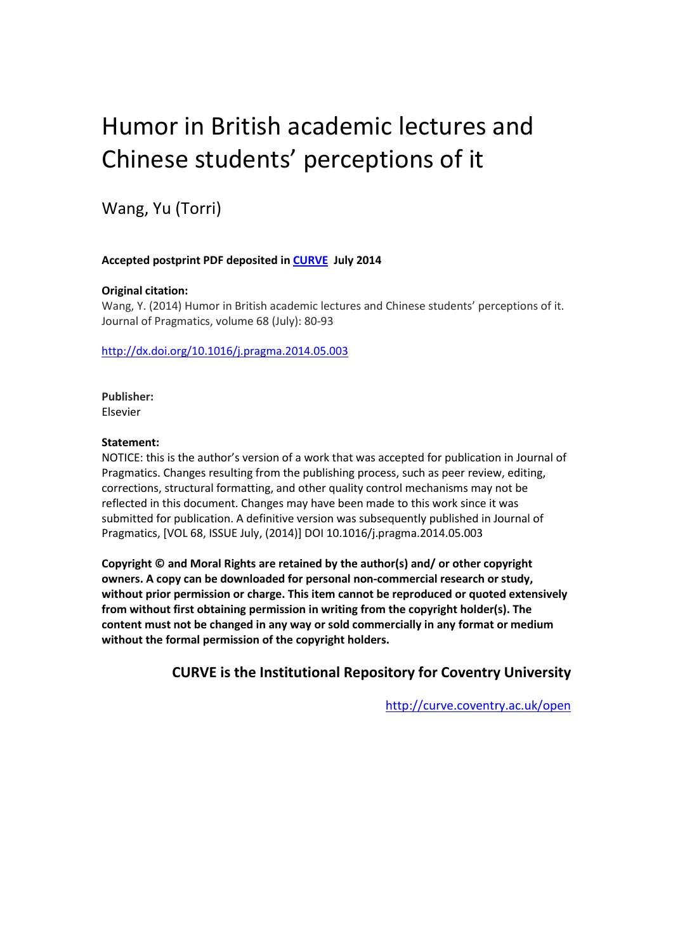# Humor in British academic lectures and Chinese students' perceptions of it

Wang, Yu (Torri)

#### **Accepted postprint PDF deposited in [CURVE](http://curve.coventry.ac.uk/open) July 2014**

#### **Original citation:**

Wang, Y. (2014) Humor in British academic lectures and Chinese students' perceptions of it. Journal of Pragmatics, volume 68 (July): 80-93

<http://dx.doi.org/10.1016/j.pragma.2014.05.003>

**Publisher:** Elsevier

#### **Statement:**

NOTICE: this is the author's version of a work that was accepted for publication in Journal of Pragmatics. Changes resulting from the publishing process, such as peer review, editing, corrections, structural formatting, and other quality control mechanisms may not be reflected in this document. Changes may have been made to this work since it was submitted for publication. A definitive version was subsequently published in Journal of Pragmatics, [VOL 68, ISSUE July, (2014)] DOI 10.1016/j.pragma.2014.05.003

**Copyright © and Moral Rights are retained by the author(s) and/ or other copyright owners. A copy can be downloaded for personal non-commercial research or study, without prior permission or charge. This item cannot be reproduced or quoted extensively from without first obtaining permission in writing from the copyright holder(s). The content must not be changed in any way or sold commercially in any format or medium without the formal permission of the copyright holders.**

#### **CURVE is the Institutional Repository for Coventry University**

<http://curve.coventry.ac.uk/open>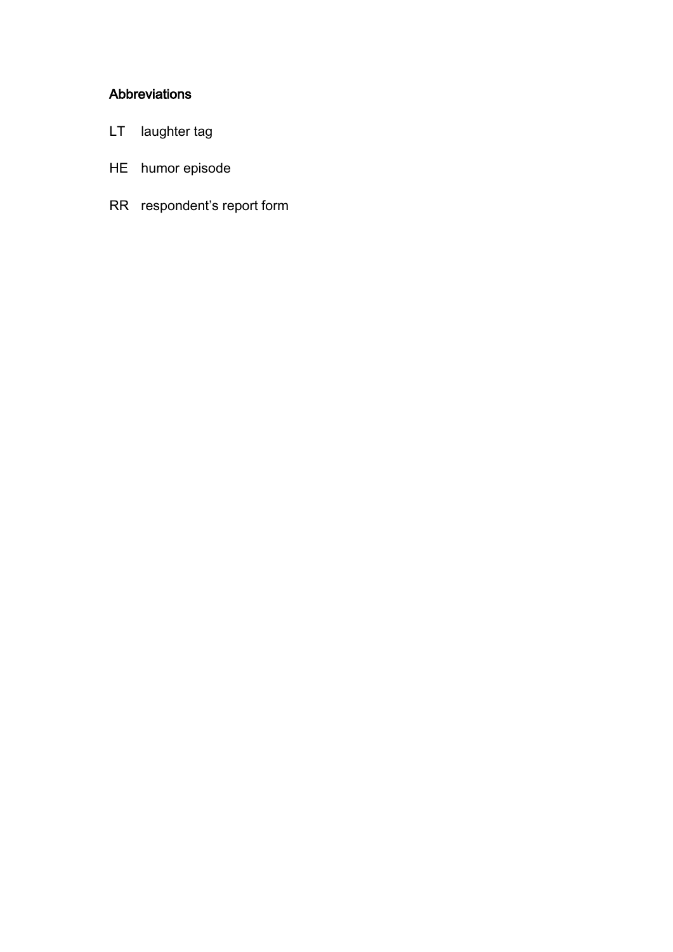### Abbreviations

- LT laughter tag
- HE humor episode
- RR respondent's report form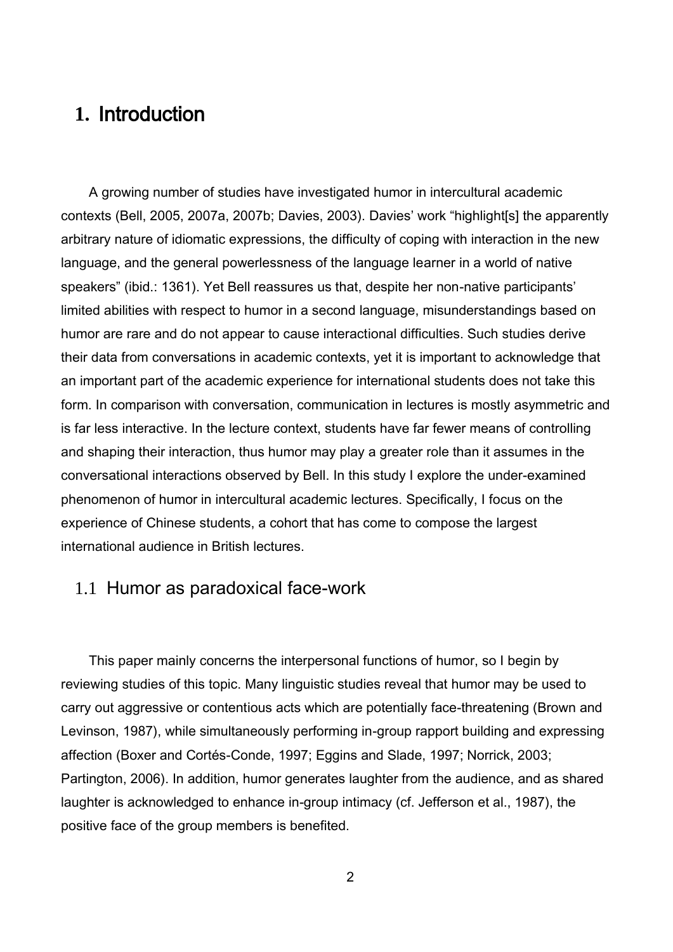# **1.** Introduction

A growing number of studies have investigated humor in intercultural academic contexts (Bell, 2005, 2007a, 2007b; Davies, 2003). Davies' work "highlight[s] the apparently arbitrary nature of idiomatic expressions, the difficulty of coping with interaction in the new language, and the general powerlessness of the language learner in a world of native speakers" (ibid.: 1361). Yet Bell reassures us that, despite her non-native participants' limited abilities with respect to humor in a second language, misunderstandings based on humor are rare and do not appear to cause interactional difficulties. Such studies derive their data from conversations in academic contexts, yet it is important to acknowledge that an important part of the academic experience for international students does not take this form. In comparison with conversation, communication in lectures is mostly asymmetric and is far less interactive. In the lecture context, students have far fewer means of controlling and shaping their interaction, thus humor may play a greater role than it assumes in the conversational interactions observed by Bell. In this study I explore the under-examined phenomenon of humor in intercultural academic lectures. Specifically, I focus on the experience of Chinese students, a cohort that has come to compose the largest international audience in British lectures.

## 1.1 Humor as paradoxical face-work

This paper mainly concerns the interpersonal functions of humor, so I begin by reviewing studies of this topic. Many linguistic studies reveal that humor may be used to carry out aggressive or contentious acts which are potentially face-threatening (Brown and Levinson, 1987), while simultaneously performing in-group rapport building and expressing affection (Boxer and Cortés-Conde, 1997; Eggins and Slade, 1997; Norrick, 2003; Partington, 2006). In addition, humor generates laughter from the audience, and as shared laughter is acknowledged to enhance in-group intimacy (cf. Jefferson et al., 1987), the positive face of the group members is benefited.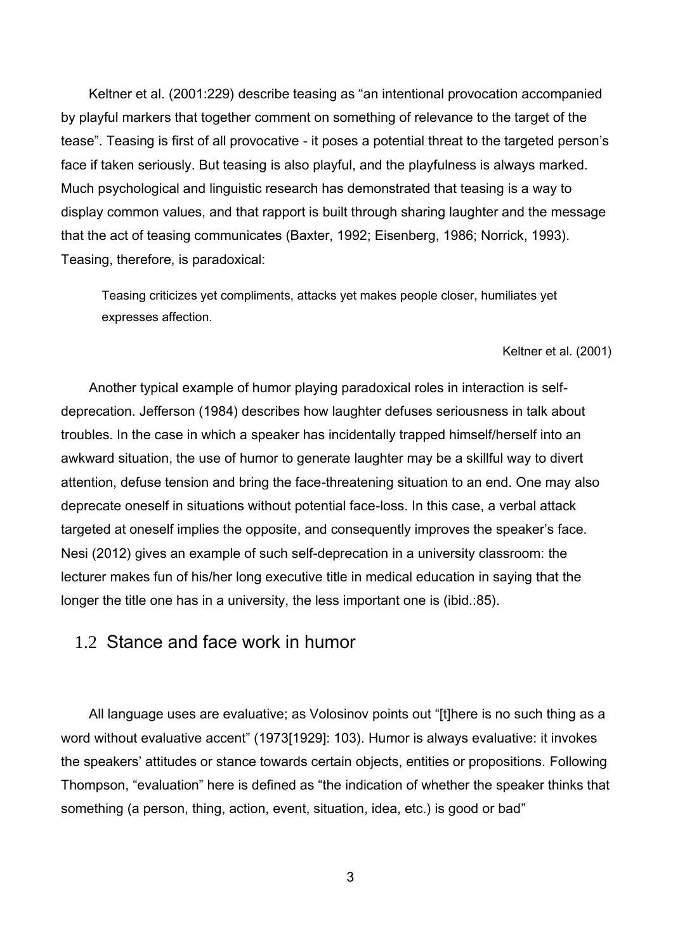Keltner et al. (2001:229) describe teasing as "an intentional provocation accompanied by playful markers that together comment on something of relevance to the target of the tease". Teasing is first of all provocative - it poses a potential threat to the targeted person's face if taken seriously. But teasing is also playful, and the playfulness is always marked. Much psychological and linguistic research has demonstrated that teasing is a way to display common values, and that rapport is built through sharing laughter and the message that the act of teasing communicates (Baxter, 1992; Eisenberg, 1986; Norrick, 1993). Teasing, therefore, is paradoxical:

Teasing criticizes yet compliments, attacks yet makes people closer, humiliates yet expresses affection.

#### Keltner et al. (2001)

Another typical example of humor playing paradoxical roles in interaction is selfdeprecation. Jefferson (1984) describes how laughter defuses seriousness in talk about troubles. In the case in which a speaker has incidentally trapped himself/herself into an awkward situation, the use of humor to generate laughter may be a skillful way to divert attention, defuse tension and bring the face-threatening situation to an end. One may also deprecate oneself in situations without potential face-loss. In this case, a verbal attack targeted at oneself implies the opposite, and consequently improves the speaker's face. Nesi (2012) gives an example of such self-deprecation in a university classroom: the lecturer makes fun of his/her long executive title in medical education in saying that the longer the title one has in a university, the less important one is (ibid.:85).

#### 1.2 Stance and face work in humor

All language uses are evaluative; as Volosinov points out "[t]here is no such thing as a word without evaluative accent" (1973[1929]: 103). Humor is always evaluative: it invokes the speakers' attitudes or stance towards certain objects, entities or propositions. Following Thompson, "evaluation" here is defined as "the indication of whether the speaker thinks that something (a person, thing, action, event, situation, idea, etc.) is good or bad"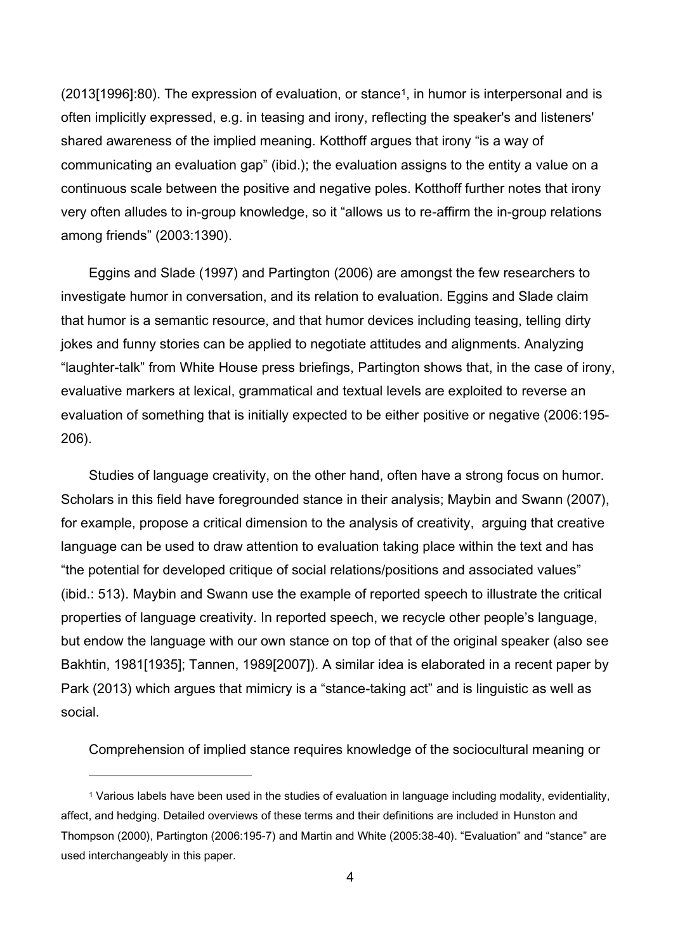(2013[1996]:80). The expression of evaluation, or stance1, in humor is interpersonal and is often implicitly expressed, e.g. in teasing and irony, reflecting the speaker's and listeners' shared awareness of the implied meaning. Kotthoff argues that irony "is a way of communicating an evaluation gap" (ibid.); the evaluation assigns to the entity a value on a continuous scale between the positive and negative poles. Kotthoff further notes that irony very often alludes to in-group knowledge, so it "allows us to re-affirm the in-group relations among friends" (2003:1390).

Eggins and Slade (1997) and Partington (2006) are amongst the few researchers to investigate humor in conversation, and its relation to evaluation. Eggins and Slade claim that humor is a semantic resource, and that humor devices including teasing, telling dirty jokes and funny stories can be applied to negotiate attitudes and alignments. Analyzing "laughter-talk" from White House press briefings, Partington shows that, in the case of irony, evaluative markers at lexical, grammatical and textual levels are exploited to reverse an evaluation of something that is initially expected to be either positive or negative (2006:195- 206).

Studies of language creativity, on the other hand, often have a strong focus on humor. Scholars in this field have foregrounded stance in their analysis; Maybin and Swann (2007), for example, propose a critical dimension to the analysis of creativity, arguing that creative language can be used to draw attention to evaluation taking place within the text and has "the potential for developed critique of social relations/positions and associated values" (ibid.: 513). Maybin and Swann use the example of reported speech to illustrate the critical properties of language creativity. In reported speech, we recycle other people's language, but endow the language with our own stance on top of that of the original speaker (also see Bakhtin, 1981[1935]; Tannen, 1989[2007]). A similar idea is elaborated in a recent paper by Park (2013) which argues that mimicry is a "stance-taking act" and is linguistic as well as social.

Comprehension of implied stance requires knowledge of the sociocultural meaning or

 $\overline{a}$ 

<sup>1</sup> Various labels have been used in the studies of evaluation in language including modality, evidentiality, affect, and hedging. Detailed overviews of these terms and their definitions are included in Hunston and Thompson (2000), Partington (2006:195-7) and Martin and White (2005:38-40). "Evaluation" and "stance" are used interchangeably in this paper.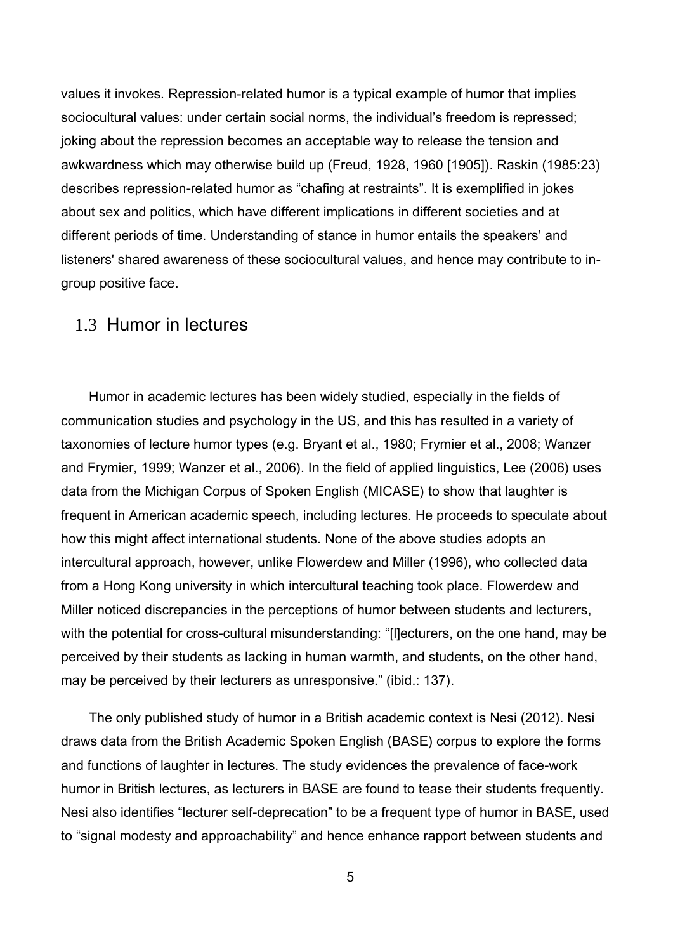values it invokes. Repression-related humor is a typical example of humor that implies sociocultural values: under certain social norms, the individual's freedom is repressed; joking about the repression becomes an acceptable way to release the tension and awkwardness which may otherwise build up (Freud, 1928, 1960 [1905]). Raskin (1985:23) describes repression-related humor as "chafing at restraints". It is exemplified in jokes about sex and politics, which have different implications in different societies and at different periods of time. Understanding of stance in humor entails the speakers' and listeners' shared awareness of these sociocultural values, and hence may contribute to ingroup positive face.

#### 1.3 Humor in lectures

Humor in academic lectures has been widely studied, especially in the fields of communication studies and psychology in the US, and this has resulted in a variety of taxonomies of lecture humor types (e.g. Bryant et al., 1980; Frymier et al., 2008; Wanzer and Frymier, 1999; Wanzer et al., 2006). In the field of applied linguistics, Lee (2006) uses data from the Michigan Corpus of Spoken English (MICASE) to show that laughter is frequent in American academic speech, including lectures. He proceeds to speculate about how this might affect international students. None of the above studies adopts an intercultural approach, however, unlike Flowerdew and Miller (1996), who collected data from a Hong Kong university in which intercultural teaching took place. Flowerdew and Miller noticed discrepancies in the perceptions of humor between students and lecturers, with the potential for cross-cultural misunderstanding: "[l]ecturers, on the one hand, may be perceived by their students as lacking in human warmth, and students, on the other hand, may be perceived by their lecturers as unresponsive." (ibid.: 137).

The only published study of humor in a British academic context is Nesi (2012). Nesi draws data from the British Academic Spoken English (BASE) corpus to explore the forms and functions of laughter in lectures. The study evidences the prevalence of face-work humor in British lectures, as lecturers in BASE are found to tease their students frequently. Nesi also identifies "lecturer self-deprecation" to be a frequent type of humor in BASE, used to "signal modesty and approachability" and hence enhance rapport between students and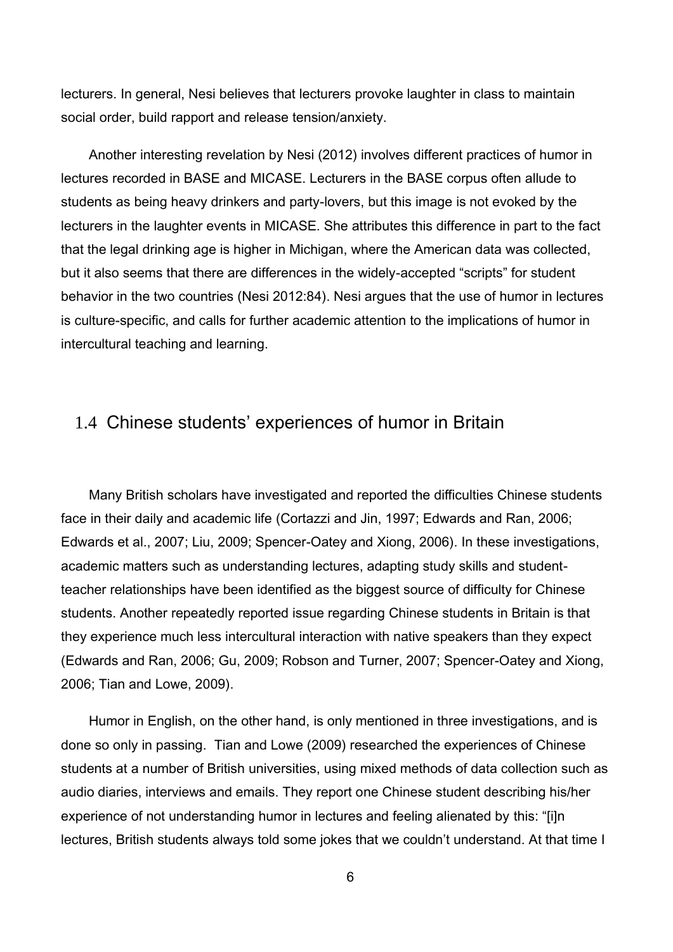lecturers. In general, Nesi believes that lecturers provoke laughter in class to maintain social order, build rapport and release tension/anxiety.

Another interesting revelation by Nesi (2012) involves different practices of humor in lectures recorded in BASE and MICASE. Lecturers in the BASE corpus often allude to students as being heavy drinkers and party-lovers, but this image is not evoked by the lecturers in the laughter events in MICASE. She attributes this difference in part to the fact that the legal drinking age is higher in Michigan, where the American data was collected, but it also seems that there are differences in the widely-accepted "scripts" for student behavior in the two countries (Nesi 2012:84). Nesi argues that the use of humor in lectures is culture-specific, and calls for further academic attention to the implications of humor in intercultural teaching and learning.

## 1.4 Chinese students' experiences of humor in Britain

Many British scholars have investigated and reported the difficulties Chinese students face in their daily and academic life (Cortazzi and Jin, 1997; Edwards and Ran, 2006; Edwards et al., 2007; Liu, 2009; Spencer-Oatey and Xiong, 2006). In these investigations, academic matters such as understanding lectures, adapting study skills and studentteacher relationships have been identified as the biggest source of difficulty for Chinese students. Another repeatedly reported issue regarding Chinese students in Britain is that they experience much less intercultural interaction with native speakers than they expect (Edwards and Ran, 2006; Gu, 2009; Robson and Turner, 2007; Spencer-Oatey and Xiong, 2006; Tian and Lowe, 2009).

Humor in English, on the other hand, is only mentioned in three investigations, and is done so only in passing. Tian and Lowe (2009) researched the experiences of Chinese students at a number of British universities, using mixed methods of data collection such as audio diaries, interviews and emails. They report one Chinese student describing his/her experience of not understanding humor in lectures and feeling alienated by this: "[i]n lectures, British students always told some jokes that we couldn't understand. At that time I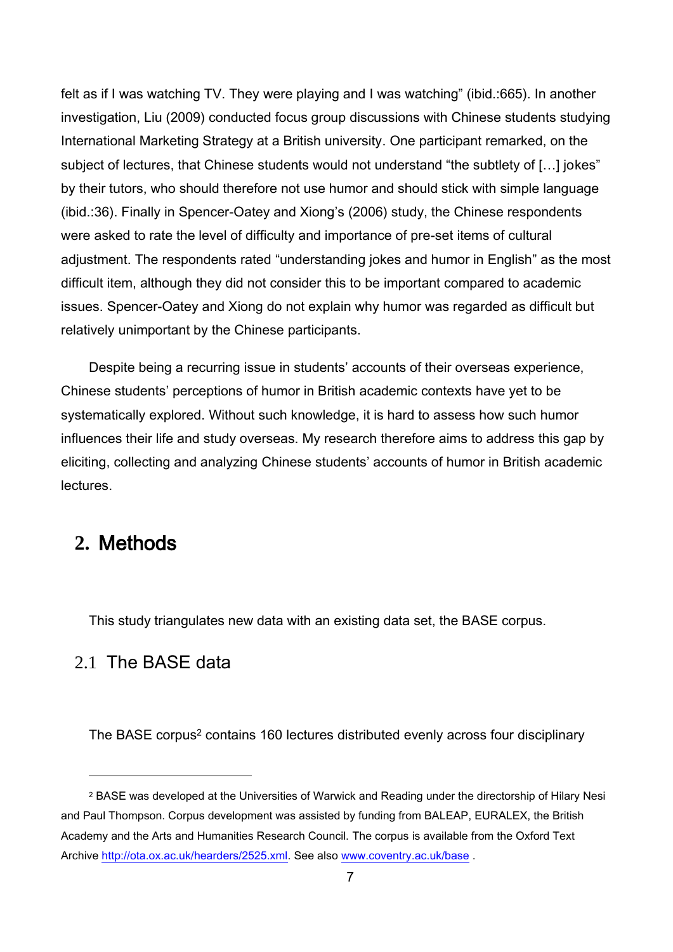felt as if I was watching TV. They were playing and I was watching" (ibid.:665). In another investigation, Liu (2009) conducted focus group discussions with Chinese students studying International Marketing Strategy at a British university. One participant remarked, on the subject of lectures, that Chinese students would not understand "the subtlety of […] jokes" by their tutors, who should therefore not use humor and should stick with simple language (ibid.:36). Finally in Spencer-Oatey and Xiong's (2006) study, the Chinese respondents were asked to rate the level of difficulty and importance of pre-set items of cultural adjustment. The respondents rated "understanding jokes and humor in English" as the most difficult item, although they did not consider this to be important compared to academic issues. Spencer-Oatey and Xiong do not explain why humor was regarded as difficult but relatively unimportant by the Chinese participants.

Despite being a recurring issue in students' accounts of their overseas experience, Chinese students' perceptions of humor in British academic contexts have yet to be systematically explored. Without such knowledge, it is hard to assess how such humor influences their life and study overseas. My research therefore aims to address this gap by eliciting, collecting and analyzing Chinese students' accounts of humor in British academic lectures.

# **2.** Methods

 $\overline{a}$ 

This study triangulates new data with an existing data set, the BASE corpus.

#### 2.1 The BASE data

The BASE corpus<sup>2</sup> contains 160 lectures distributed evenly across four disciplinary

<sup>2</sup> BASE was developed at the Universities of Warwick and Reading under the directorship of Hilary Nesi and Paul Thompson. Corpus development was assisted by funding from BALEAP, EURALEX, the British Academy and the Arts and Humanities Research Council. The corpus is available from the Oxford Text Archive [http://ota.ox.ac.uk/hearders/2525.xml.](http://ota.ox.ac.uk/hearders/2525.xml) See also [www.coventry.ac.uk/base](http://www.coventry.ac.uk/base) .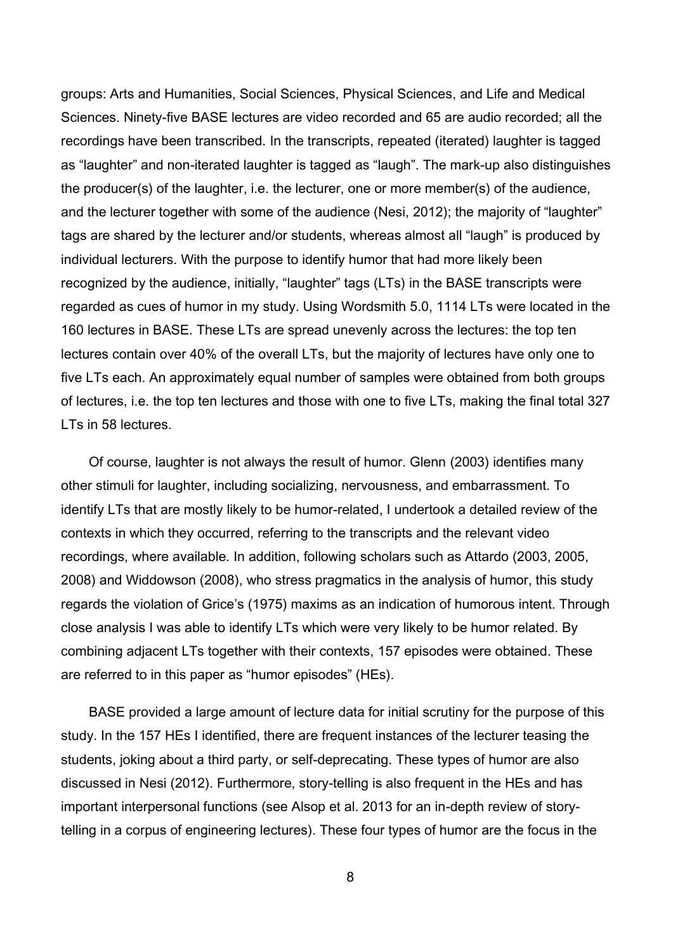groups: Arts and Humanities, Social Sciences, Physical Sciences, and Life and Medical Sciences. Ninety-five BASE lectures are video recorded and 65 are audio recorded; all the recordings have been transcribed. In the transcripts, repeated (iterated) laughter is tagged as "laughter" and non-iterated laughter is tagged as "laugh". The mark-up also distinguishes the producer(s) of the laughter, i.e. the lecturer, one or more member(s) of the audience, and the lecturer together with some of the audience (Nesi, 2012); the majority of "laughter" tags are shared by the lecturer and/or students, whereas almost all "laugh" is produced by individual lecturers. With the purpose to identify humor that had more likely been recognized by the audience, initially, "laughter" tags (LTs) in the BASE transcripts were regarded as cues of humor in my study. Using Wordsmith 5.0, 1114 LTs were located in the 160 lectures in BASE. These LTs are spread unevenly across the lectures: the top ten lectures contain over 40% of the overall LTs, but the majority of lectures have only one to five LTs each. An approximately equal number of samples were obtained from both groups of lectures, i.e. the top ten lectures and those with one to five LTs, making the final total 327 LTs in 58 lectures.

Of course, laughter is not always the result of humor. Glenn (2003) identifies many other stimuli for laughter, including socializing, nervousness, and embarrassment. To identify LTs that are mostly likely to be humor-related, I undertook a detailed review of the contexts in which they occurred, referring to the transcripts and the relevant video recordings, where available. In addition, following scholars such as Attardo (2003, 2005, 2008) and Widdowson (2008), who stress pragmatics in the analysis of humor, this study regards the violation of Grice's (1975) maxims as an indication of humorous intent. Through close analysis I was able to identify LTs which were very likely to be humor related. By combining adjacent LTs together with their contexts, 157 episodes were obtained. These are referred to in this paper as "humor episodes" (HEs).

BASE provided a large amount of lecture data for initial scrutiny for the purpose of this study. In the 157 HEs I identified, there are frequent instances of the lecturer teasing the students, joking about a third party, or self-deprecating. These types of humor are also discussed in Nesi (2012). Furthermore, story-telling is also frequent in the HEs and has important interpersonal functions (see Alsop et al. 2013 for an in-depth review of storytelling in a corpus of engineering lectures). These four types of humor are the focus in the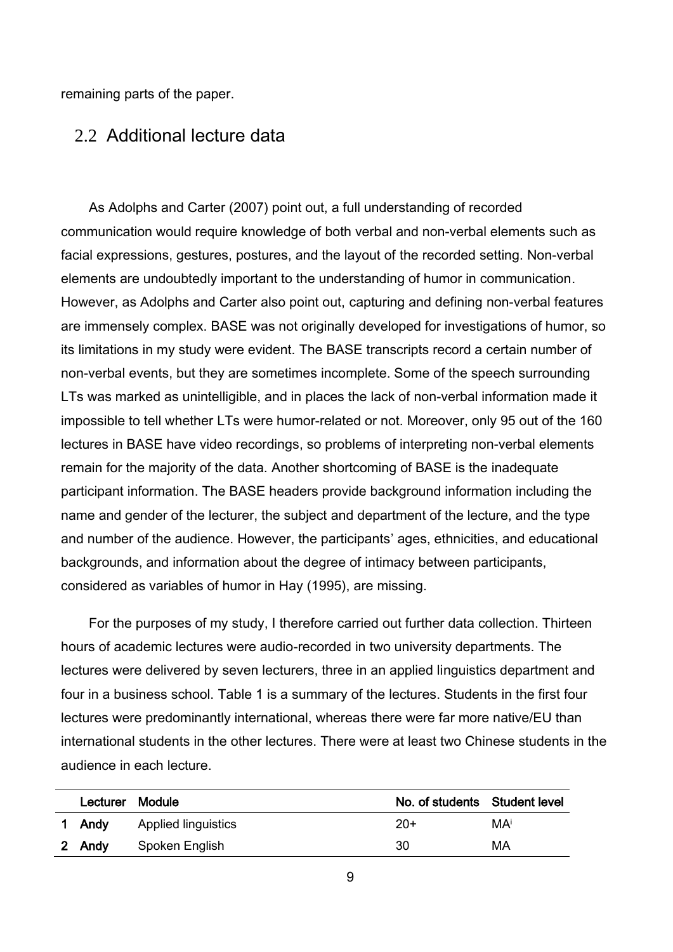remaining parts of the paper.

### 2.2 Additional lecture data

As Adolphs and Carter (2007) point out, a full understanding of recorded communication would require knowledge of both verbal and non-verbal elements such as facial expressions, gestures, postures, and the layout of the recorded setting. Non-verbal elements are undoubtedly important to the understanding of humor in communication. However, as Adolphs and Carter also point out, capturing and defining non-verbal features are immensely complex. BASE was not originally developed for investigations of humor, so its limitations in my study were evident. The BASE transcripts record a certain number of non-verbal events, but they are sometimes incomplete. Some of the speech surrounding LTs was marked as unintelligible, and in places the lack of non-verbal information made it impossible to tell whether LTs were humor-related or not. Moreover, only 95 out of the 160 lectures in BASE have video recordings, so problems of interpreting non-verbal elements remain for the majority of the data. Another shortcoming of BASE is the inadequate participant information. The BASE headers provide background information including the name and gender of the lecturer, the subject and department of the lecture, and the type and number of the audience. However, the participants' ages, ethnicities, and educational backgrounds, and information about the degree of intimacy between participants, considered as variables of humor in Hay (1995), are missing.

For the purposes of my study, I therefore carried out further data collection. Thirteen hours of academic lectures were audio-recorded in two university departments. The lectures were delivered by seven lecturers, three in an applied linguistics department and four in a business school. [Table 1](#page-10-0) is a summary of the lectures. Students in the first four lectures were predominantly international, whereas there were far more native/EU than international students in the other lectures. There were at least two Chinese students in the audience in each lecture.

| Lecturer Module |                            | No. of students Student level |    |
|-----------------|----------------------------|-------------------------------|----|
| 1 Andy          | <b>Applied linguistics</b> | $20+$                         | MA |
| 2 Andy          | Spoken English             | 30                            | МA |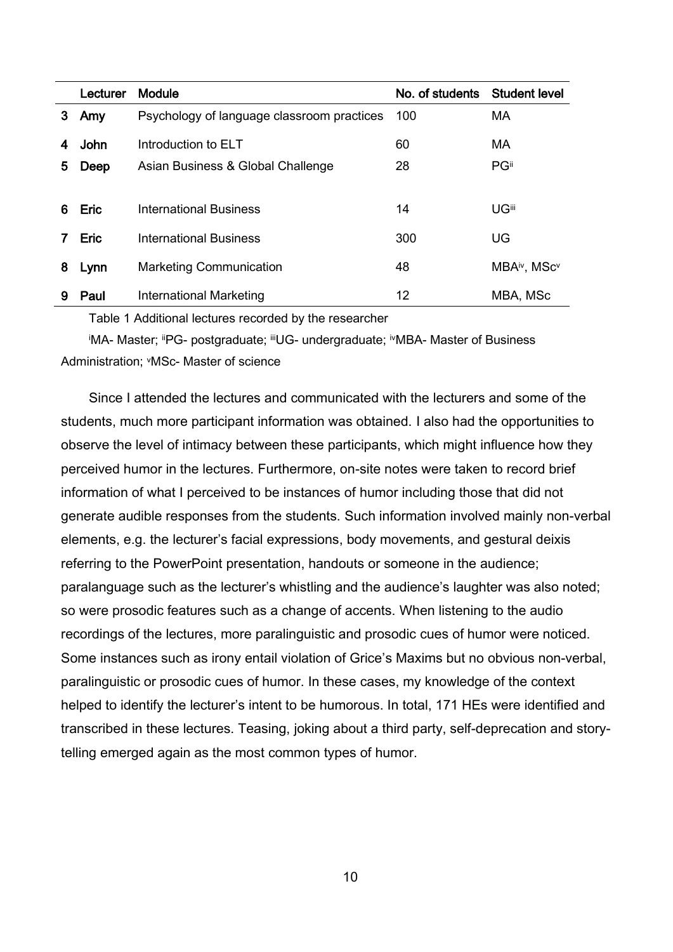|   | Lecturer    | Module                                     | No. of students Student level |              |
|---|-------------|--------------------------------------------|-------------------------------|--------------|
| 3 | Amy         | Psychology of language classroom practices | 100                           | <b>MA</b>    |
|   | John        | Introduction to ELT                        | 60                            | <b>MA</b>    |
| 5 | Deep        | Asian Business & Global Challenge          | 28                            | PGii         |
|   |             |                                            |                               |              |
| 6 | <b>Eric</b> | International Business                     | 14                            | <b>UGili</b> |
|   | <b>Eric</b> | International Business                     | 300                           | UG           |
| 8 | Lynn        | <b>Marketing Communication</b>             | 48                            | MBAiv, MScv  |
| 9 | Paul        | International Marketing                    | 12                            | MBA, MSc     |

Table 1 Additional lectures recorded by the researcher

<span id="page-10-0"></span>iMA- Master; iiPG- postgraduate; iiiUG- undergraduate; ivMBA- Master of Business Administration; vMSc- Master of science

Since I attended the lectures and communicated with the lecturers and some of the students, much more participant information was obtained. I also had the opportunities to observe the level of intimacy between these participants, which might influence how they perceived humor in the lectures. Furthermore, on-site notes were taken to record brief information of what I perceived to be instances of humor including those that did not generate audible responses from the students. Such information involved mainly non-verbal elements, e.g. the lecturer's facial expressions, body movements, and gestural deixis referring to the PowerPoint presentation, handouts or someone in the audience; paralanguage such as the lecturer's whistling and the audience's laughter was also noted; so were prosodic features such as a change of accents. When listening to the audio recordings of the lectures, more paralinguistic and prosodic cues of humor were noticed. Some instances such as irony entail violation of Grice's Maxims but no obvious non-verbal, paralinguistic or prosodic cues of humor. In these cases, my knowledge of the context helped to identify the lecturer's intent to be humorous. In total, 171 HEs were identified and transcribed in these lectures. Teasing, joking about a third party, self-deprecation and storytelling emerged again as the most common types of humor.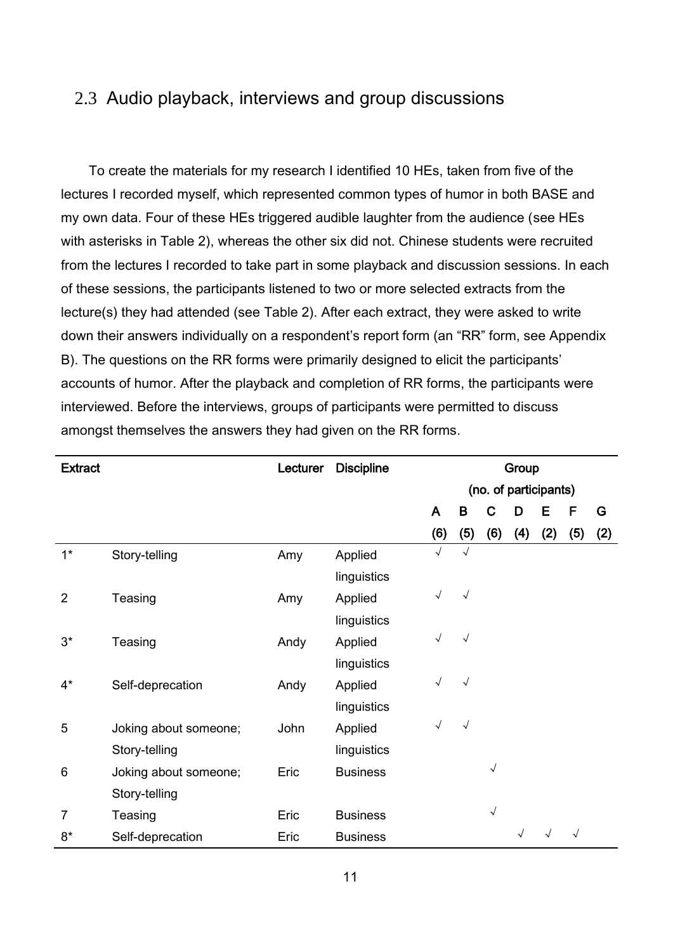## 2.3 Audio playback, interviews and group discussions

To create the materials for my research I identified 10 HEs, taken from five of the lectures I recorded myself, which represented common types of humor in both BASE and my own data. Four of these HEs triggered audible laughter from the audience (see HEs with asterisks in Table 2), whereas the other six did not. Chinese students were recruited from the lectures I recorded to take part in some playback and discussion sessions. In each of these sessions, the participants listened to two or more selected extracts from the lecture(s) they had attended (see Table 2). After each extract, they were asked to write down their answers individually on a respondent's report form (an "RR" form, see Appendix B). The questions on the RR forms were primarily designed to elicit the participants' accounts of humor. After the playback and completion of RR forms, the participants were interviewed. Before the interviews, groups of participants were permitted to discuss amongst themselves the answers they had given on the RR forms.

| <b>Extract</b> |                       | Lecturer | <b>Discipline</b> |              |            |                       | Group |     |            |     |
|----------------|-----------------------|----------|-------------------|--------------|------------|-----------------------|-------|-----|------------|-----|
|                |                       |          |                   |              |            | (no. of participants) |       |     |            |     |
|                |                       |          |                   | $\mathsf{A}$ | B          | C                     | D     | Е   | F          | G   |
|                |                       |          |                   | (6)          | (5)        | (6)                   | (4)   | (2) | (5)        | (2) |
| $1^*$          | Story-telling         | Amy      | Applied           | $\sqrt{ }$   | $\sqrt{ }$ |                       |       |     |            |     |
|                |                       |          | linguistics       |              |            |                       |       |     |            |     |
| $\overline{2}$ | Teasing               | Amy      | Applied           | $\sqrt{ }$   | $\sqrt{ }$ |                       |       |     |            |     |
|                |                       |          | linguistics       |              |            |                       |       |     |            |     |
| $3^*$          | Teasing               | Andy     | Applied           | $\sqrt{ }$   | $\sqrt{ }$ |                       |       |     |            |     |
|                |                       |          | linguistics       |              |            |                       |       |     |            |     |
| $4^*$          | Self-deprecation      | Andy     | Applied           | $\sqrt{ }$   | $\sqrt{ }$ |                       |       |     |            |     |
|                |                       |          | linguistics       |              |            |                       |       |     |            |     |
| 5              | Joking about someone; | John     | Applied           | $\sqrt{ }$   | $\sqrt{ }$ |                       |       |     |            |     |
|                | Story-telling         |          | linguistics       |              |            |                       |       |     |            |     |
| $6\phantom{1}$ | Joking about someone; | Eric     | <b>Business</b>   |              |            | $\sqrt{}$             |       |     |            |     |
|                | Story-telling         |          |                   |              |            |                       |       |     |            |     |
| $\overline{7}$ | Teasing               | Eric     | <b>Business</b>   |              |            | $\sqrt{ }$            |       |     |            |     |
| $8*$           | Self-deprecation      | Eric     | <b>Business</b>   |              |            |                       |       |     | $\sqrt{ }$ |     |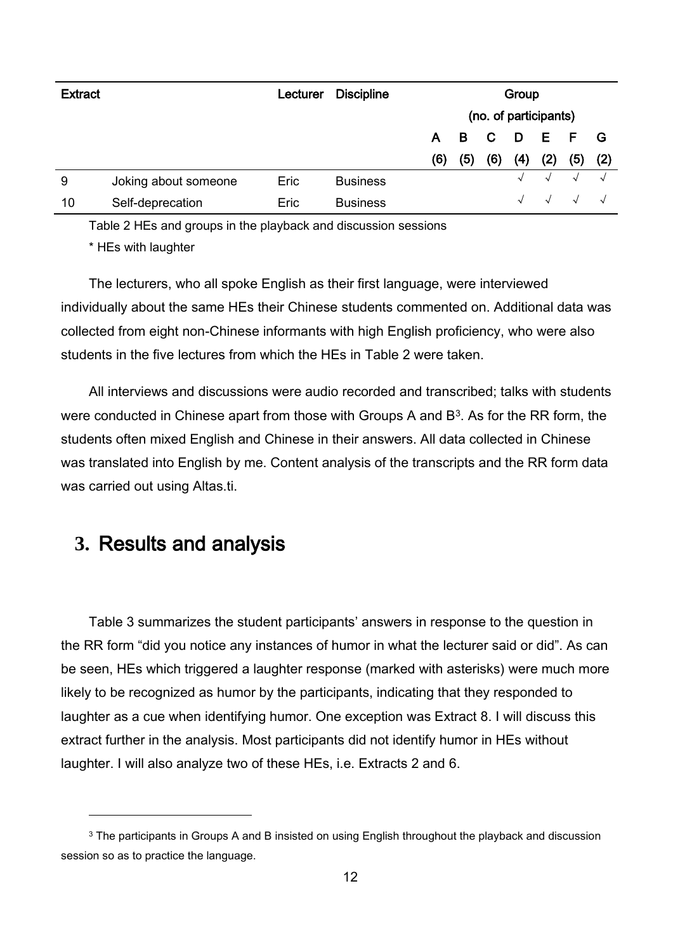| <b>Extract</b> |                      | Lecturer | <b>Discipline</b> | Group                 |     |                         |                |                   |            |            |
|----------------|----------------------|----------|-------------------|-----------------------|-----|-------------------------|----------------|-------------------|------------|------------|
|                |                      |          |                   | (no. of participants) |     |                         |                |                   |            |            |
|                |                      |          |                   | A B                   |     | $\overline{\mathbf{C}}$ | $\blacksquare$ | $\sim$ E $\sim$ F | $F$ G      |            |
|                |                      |          |                   | (6)                   | (5) | (6)                     | (4)            | (2)               | (5)        | (2)        |
| 9              | Joking about someone | Eric     | <b>Business</b>   |                       |     |                         |                | $\sqrt{ }$        | $\sim$     | $\sqrt{ }$ |
| 10             | Self-deprecation     | Eric     | <b>Business</b>   |                       |     |                         |                | $\sqrt{ }$        | $\sqrt{ }$ |            |

Table 2 HEs and groups in the playback and discussion sessions

\* HEs with laughter

The lecturers, who all spoke English as their first language, were interviewed individually about the same HEs their Chinese students commented on. Additional data was collected from eight non-Chinese informants with high English proficiency, who were also students in the five lectures from which the HEs in Table 2 were taken.

All interviews and discussions were audio recorded and transcribed; talks with students were conducted in Chinese apart from those with Groups A and B3. As for the RR form, the students often mixed English and Chinese in their answers. All data collected in Chinese was translated into English by me. Content analysis of the transcripts and the RR form data was carried out using Altas.ti.

# **3.** Results and analysis

 $\overline{a}$ 

[Table 3](#page-13-0) summarizes the student participants' answers in response to the question in the RR form "did you notice any instances of humor in what the lecturer said or did". As can be seen, HEs which triggered a laughter response (marked with asterisks) were much more likely to be recognized as humor by the participants, indicating that they responded to laughter as a cue when identifying humor. One exception was Extract 8. I will discuss this extract further in the analysis. Most participants did not identify humor in HEs without laughter. I will also analyze two of these HEs, i.e. Extracts 2 and 6.

<sup>&</sup>lt;sup>3</sup> The participants in Groups A and B insisted on using English throughout the playback and discussion session so as to practice the language.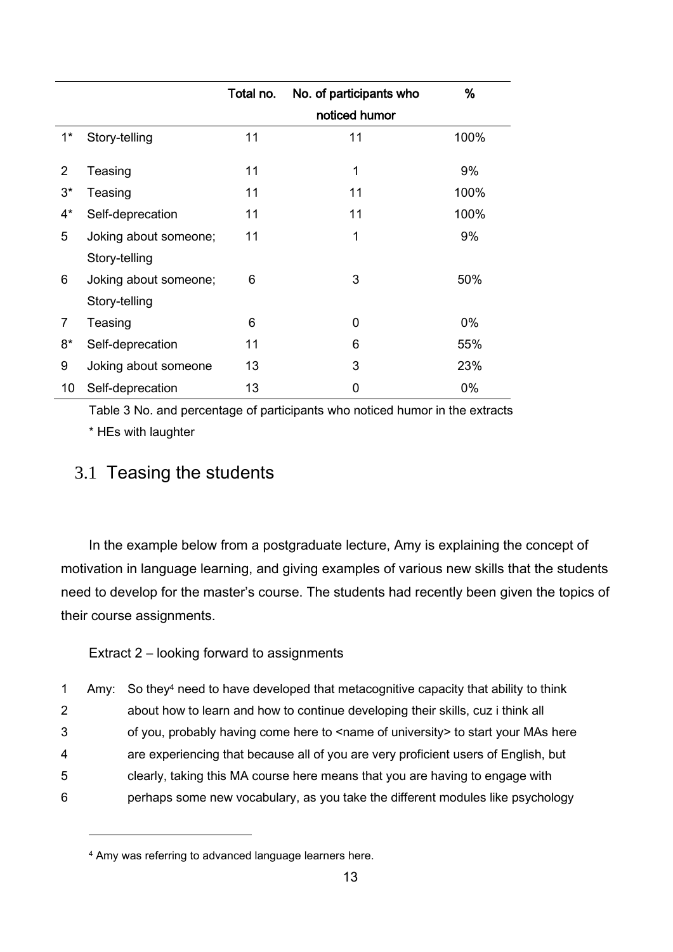|                |                       | Total no. | No. of participants who | %     |
|----------------|-----------------------|-----------|-------------------------|-------|
|                |                       |           | noticed humor           |       |
| $1^*$          | Story-telling         | 11        | 11                      | 100%  |
|                |                       |           |                         |       |
| 2              | Teasing               | 11        | 1                       | 9%    |
| $3^*$          | Teasing               | 11        | 11                      | 100%  |
| $4^*$          | Self-deprecation      | 11        | 11                      | 100%  |
| 5              | Joking about someone; | 11        | 1                       | 9%    |
|                | Story-telling         |           |                         |       |
| 6              | Joking about someone; | 6         | 3                       | 50%   |
|                | Story-telling         |           |                         |       |
| $\overline{7}$ | Teasing               | 6         | 0                       | $0\%$ |
| $8*$           | Self-deprecation      | 11        | 6                       | 55%   |
| 9              | Joking about someone  | 13        | 3                       | 23%   |
| 10             | Self-deprecation      | 13        | 0                       | $0\%$ |

<span id="page-13-0"></span>Table 3 No. and percentage of participants who noticed humor in the extracts \* HEs with laughter

## 3.1 Teasing the students

In the example below from a postgraduate lecture, Amy is explaining the concept of motivation in language learning, and giving examples of various new skills that the students need to develop for the master's course. The students had recently been given the topics of their course assignments.

Extract 2 – looking forward to assignments

 Amy: So they<sup>4</sup> need to have developed that metacognitive capacity that ability to think about how to learn and how to continue developing their skills, cuz i think all 3 of you, probably having come here to <name of university> to start your MAs here are experiencing that because all of you are very proficient users of English, but clearly, taking this MA course here means that you are having to engage with perhaps some new vocabulary, as you take the different modules like psychology

l

<sup>4</sup> Amy was referring to advanced language learners here.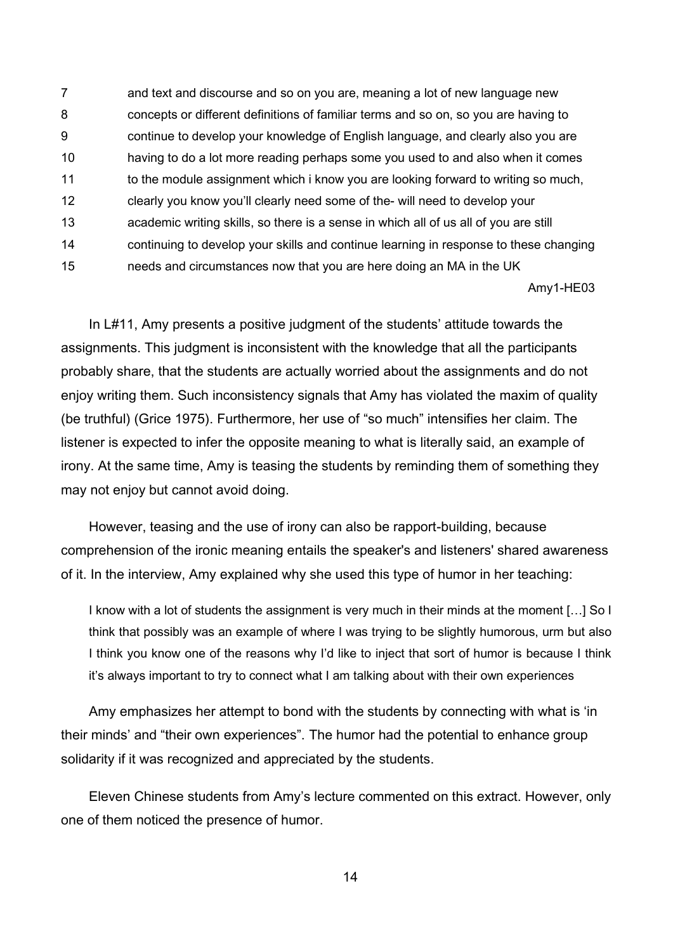and text and discourse and so on you are, meaning a lot of new language new concepts or different definitions of familiar terms and so on, so you are having to continue to develop your knowledge of English language, and clearly also you are having to do a lot more reading perhaps some you used to and also when it comes 11 to the module assignment which i know you are looking forward to writing so much, clearly you know you'll clearly need some of the- will need to develop your academic writing skills, so there is a sense in which all of us all of you are still continuing to develop your skills and continue learning in response to these changing needs and circumstances now that you are here doing an MA in the UK

Amy1-HE03

In L#11, Amy presents a positive judgment of the students' attitude towards the assignments. This judgment is inconsistent with the knowledge that all the participants probably share, that the students are actually worried about the assignments and do not enjoy writing them. Such inconsistency signals that Amy has violated the maxim of quality (be truthful) (Grice 1975). Furthermore, her use of "so much" intensifies her claim. The listener is expected to infer the opposite meaning to what is literally said, an example of irony. At the same time, Amy is teasing the students by reminding them of something they may not enjoy but cannot avoid doing.

However, teasing and the use of irony can also be rapport-building, because comprehension of the ironic meaning entails the speaker's and listeners' shared awareness of it. In the interview, Amy explained why she used this type of humor in her teaching:

I know with a lot of students the assignment is very much in their minds at the moment […] So I think that possibly was an example of where I was trying to be slightly humorous, urm but also I think you know one of the reasons why I'd like to inject that sort of humor is because I think it's always important to try to connect what I am talking about with their own experiences

Amy emphasizes her attempt to bond with the students by connecting with what is 'in their minds' and "their own experiences". The humor had the potential to enhance group solidarity if it was recognized and appreciated by the students.

Eleven Chinese students from Amy's lecture commented on this extract. However, only one of them noticed the presence of humor.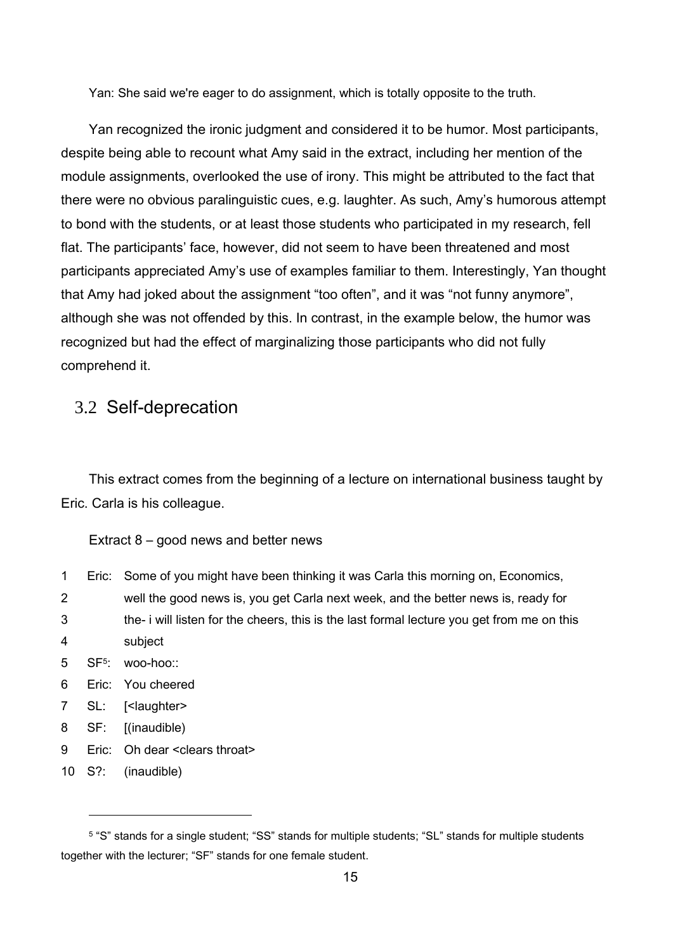Yan: She said we're eager to do assignment, which is totally opposite to the truth.

Yan recognized the ironic judgment and considered it to be humor. Most participants, despite being able to recount what Amy said in the extract, including her mention of the module assignments, overlooked the use of irony. This might be attributed to the fact that there were no obvious paralinguistic cues, e.g. laughter. As such, Amy's humorous attempt to bond with the students, or at least those students who participated in my research, fell flat. The participants' face, however, did not seem to have been threatened and most participants appreciated Amy's use of examples familiar to them. Interestingly, Yan thought that Amy had joked about the assignment "too often", and it was "not funny anymore", although she was not offended by this. In contrast, in the example below, the humor was recognized but had the effect of marginalizing those participants who did not fully comprehend it.

## 3.2 Self-deprecation

This extract comes from the beginning of a lecture on international business taught by Eric. Carla is his colleague.

#### Extract 8 – good news and better news

- 1 Eric: Some of you might have been thinking it was Carla this morning on, Economics,
- 2 well the good news is, you get Carla next week, and the better news is, ready for 3 the- i will listen for the cheers, this is the last formal lecture you get from me on this
- 4 subject
- 5 SF<sup>5</sup> : woo-hoo::
- 6 Eric: You cheered
- 7 SL: [<laughter>
- 8 SF: [(inaudible)
- 9 Eric: Oh dear <clears throat>
- 10 S?: (inaudible)

 $\overline{a}$ 

<sup>5</sup> "S" stands for a single student; "SS" stands for multiple students; "SL" stands for multiple students together with the lecturer; "SF" stands for one female student.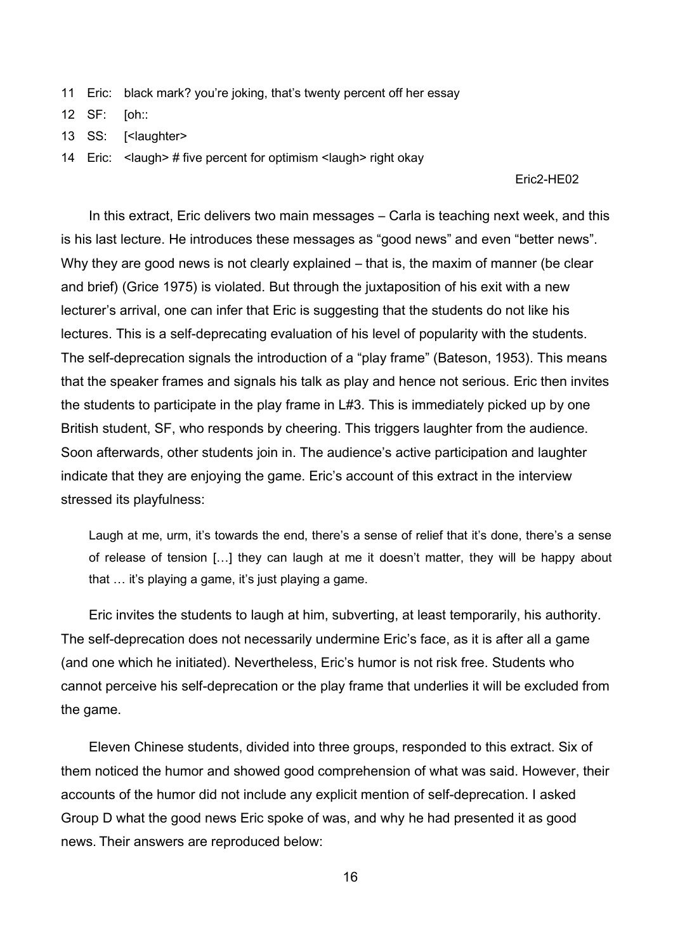- 11 Eric: black mark? you're joking, that's twenty percent off her essay
- 12 SF: [oh::
- 13 SS: [<laughter>
- 14 Eric: <laugh> # five percent for optimism <laugh> right okay

#### Eric2-HE02

In this extract, Eric delivers two main messages – Carla is teaching next week, and this is his last lecture. He introduces these messages as "good news" and even "better news". Why they are good news is not clearly explained – that is, the maxim of manner (be clear and brief) (Grice 1975) is violated. But through the juxtaposition of his exit with a new lecturer's arrival, one can infer that Eric is suggesting that the students do not like his lectures. This is a self-deprecating evaluation of his level of popularity with the students. The self-deprecation signals the introduction of a "play frame" (Bateson, 1953). This means that the speaker frames and signals his talk as play and hence not serious. Eric then invites the students to participate in the play frame in L#3. This is immediately picked up by one British student, SF, who responds by cheering. This triggers laughter from the audience. Soon afterwards, other students join in. The audience's active participation and laughter indicate that they are enjoying the game. Eric's account of this extract in the interview stressed its playfulness:

Laugh at me, urm, it's towards the end, there's a sense of relief that it's done, there's a sense of release of tension […] they can laugh at me it doesn't matter, they will be happy about that … it's playing a game, it's just playing a game.

Eric invites the students to laugh at him, subverting, at least temporarily, his authority. The self-deprecation does not necessarily undermine Eric's face, as it is after all a game (and one which he initiated). Nevertheless, Eric's humor is not risk free. Students who cannot perceive his self-deprecation or the play frame that underlies it will be excluded from the game.

Eleven Chinese students, divided into three groups, responded to this extract. Six of them noticed the humor and showed good comprehension of what was said. However, their accounts of the humor did not include any explicit mention of self-deprecation. I asked Group D what the good news Eric spoke of was, and why he had presented it as good news. Their answers are reproduced below: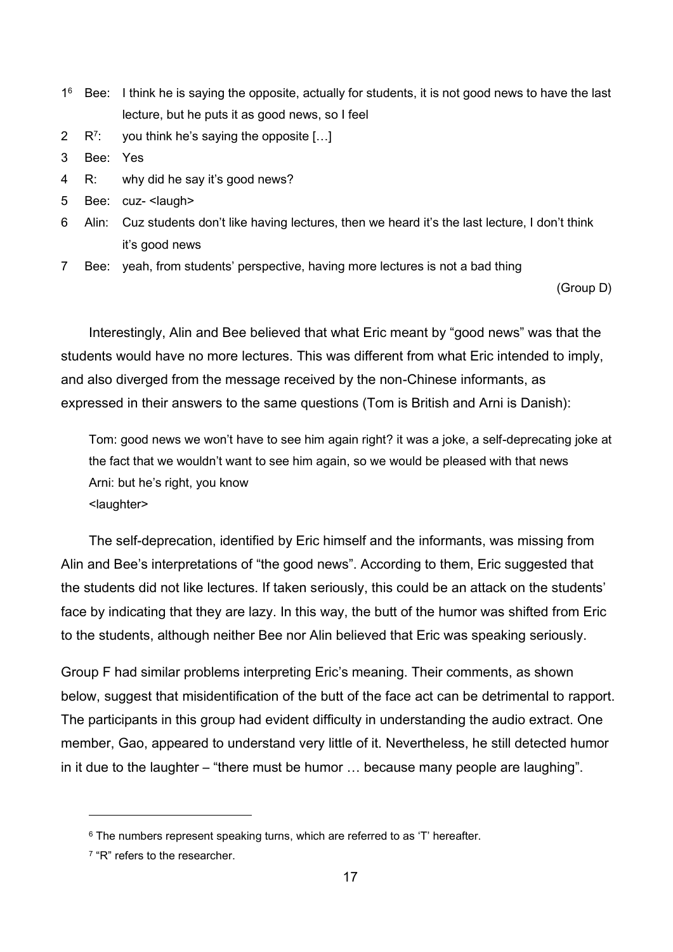- 1<sup>6</sup> Bee: I think he is saying the opposite, actually for students, it is not good news to have the last lecture, but he puts it as good news, so I feel
- 2  $R^7$ : you think he's saying the opposite [...]
- 3 Bee: Yes
- 4 R: why did he say it's good news?
- 5 Bee: cuz- <laugh>
- 6 Alin: Cuz students don't like having lectures, then we heard it's the last lecture, I don't think it's good news
- 7 Bee: yeah, from students' perspective, having more lectures is not a bad thing

(Group D)

Interestingly, Alin and Bee believed that what Eric meant by "good news" was that the students would have no more lectures. This was different from what Eric intended to imply, and also diverged from the message received by the non-Chinese informants, as expressed in their answers to the same questions (Tom is British and Arni is Danish):

Tom: good news we won't have to see him again right? it was a joke, a self-deprecating joke at the fact that we wouldn't want to see him again, so we would be pleased with that news Arni: but he's right, you know <laughter>

The self-deprecation, identified by Eric himself and the informants, was missing from Alin and Bee's interpretations of "the good news". According to them, Eric suggested that the students did not like lectures. If taken seriously, this could be an attack on the students' face by indicating that they are lazy. In this way, the butt of the humor was shifted from Eric to the students, although neither Bee nor Alin believed that Eric was speaking seriously.

Group F had similar problems interpreting Eric's meaning. Their comments, as shown below, suggest that misidentification of the butt of the face act can be detrimental to rapport. The participants in this group had evident difficulty in understanding the audio extract. One member, Gao, appeared to understand very little of it. Nevertheless, he still detected humor in it due to the laughter – "there must be humor … because many people are laughing".

 $\overline{a}$ 

<sup>&</sup>lt;sup>6</sup> The numbers represent speaking turns, which are referred to as 'T' hereafter.

<sup>&</sup>lt;sup>7</sup> "R" refers to the researcher.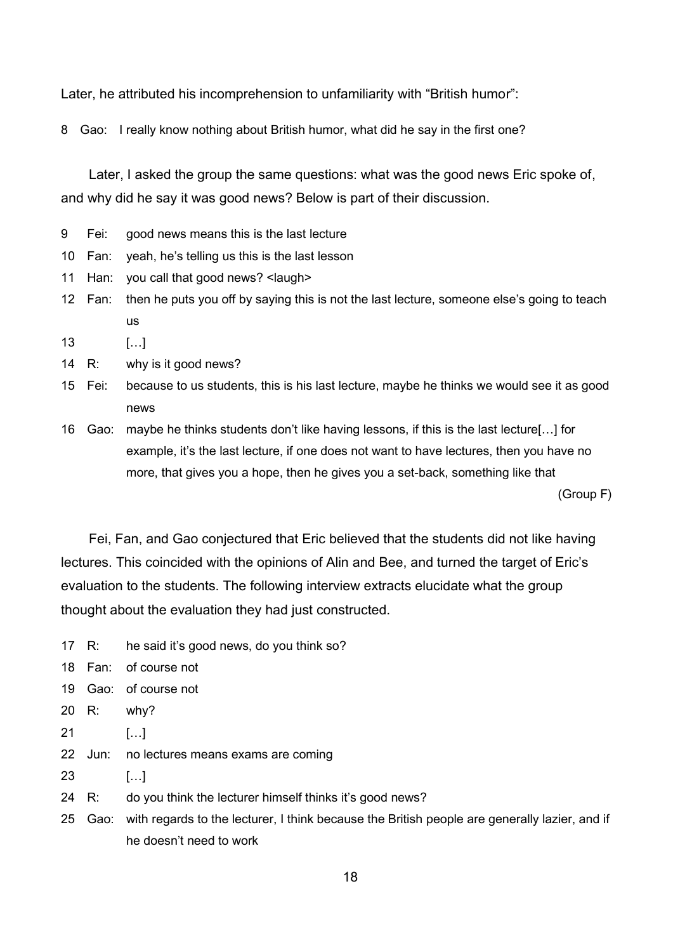Later, he attributed his incomprehension to unfamiliarity with "British humor":

8 Gao: I really know nothing about British humor, what did he say in the first one?

Later, I asked the group the same questions: what was the good news Eric spoke of, and why did he say it was good news? Below is part of their discussion.

- 9 Fei: good news means this is the last lecture
- 10 Fan: yeah, he's telling us this is the last lesson
- 11 Han: you call that good news? <laugh>
- 12 Fan: then he puts you off by saying this is not the last lecture, someone else's going to teach us
- 13 […]
- 14 R: why is it good news?
- 15 Fei: because to us students, this is his last lecture, maybe he thinks we would see it as good news

16 Gao: maybe he thinks students don't like having lessons, if this is the last lecture[…] for example, it's the last lecture, if one does not want to have lectures, then you have no more, that gives you a hope, then he gives you a set-back, something like that

(Group F)

Fei, Fan, and Gao conjectured that Eric believed that the students did not like having lectures. This coincided with the opinions of Alin and Bee, and turned the target of Eric's evaluation to the students. The following interview extracts elucidate what the group thought about the evaluation they had just constructed.

- 17 R: he said it's good news, do you think so?
- 18 Fan: of course not
- 19 Gao: of course not
- 20 R: why?
- 21 […]
- 22 Jun: no lectures means exams are coming
- 23 […]
- 24 R: do you think the lecturer himself thinks it's good news?
- 25 Gao: with regards to the lecturer, I think because the British people are generally lazier, and if he doesn't need to work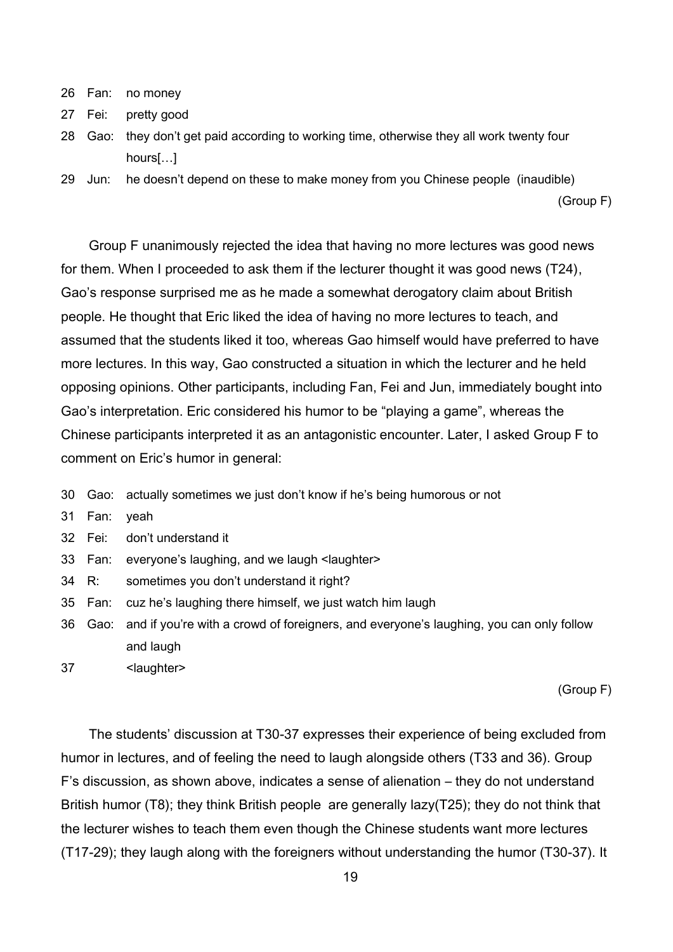- 26 Fan: no money
- 27 Fei: pretty good
- 28 Gao: they don't get paid according to working time, otherwise they all work twenty four hours[…]
- 29 Jun: he doesn't depend on these to make money from you Chinese people (inaudible)

(Group F)

Group F unanimously rejected the idea that having no more lectures was good news for them. When I proceeded to ask them if the lecturer thought it was good news (T24), Gao's response surprised me as he made a somewhat derogatory claim about British people. He thought that Eric liked the idea of having no more lectures to teach, and assumed that the students liked it too, whereas Gao himself would have preferred to have more lectures. In this way, Gao constructed a situation in which the lecturer and he held opposing opinions. Other participants, including Fan, Fei and Jun, immediately bought into Gao's interpretation. Eric considered his humor to be "playing a game", whereas the Chinese participants interpreted it as an antagonistic encounter. Later, I asked Group F to comment on Eric's humor in general:

- 30 Gao: actually sometimes we just don't know if he's being humorous or not
- 31 Fan: yeah

32 Fei: don't understand it

- 33 Fan: everyone's laughing, and we laugh <laughter>
- 34 R: sometimes you don't understand it right?
- 35 Fan: cuz he's laughing there himself, we just watch him laugh
- 36 Gao: and if you're with a crowd of foreigners, and everyone's laughing, you can only follow and laugh
- 37 <laughter>

(Group F)

The students' discussion at T30-37 expresses their experience of being excluded from humor in lectures, and of feeling the need to laugh alongside others (T33 and 36). Group F's discussion, as shown above, indicates a sense of alienation – they do not understand British humor (T8); they think British people are generally lazy(T25); they do not think that the lecturer wishes to teach them even though the Chinese students want more lectures (T17-29); they laugh along with the foreigners without understanding the humor (T30-37). It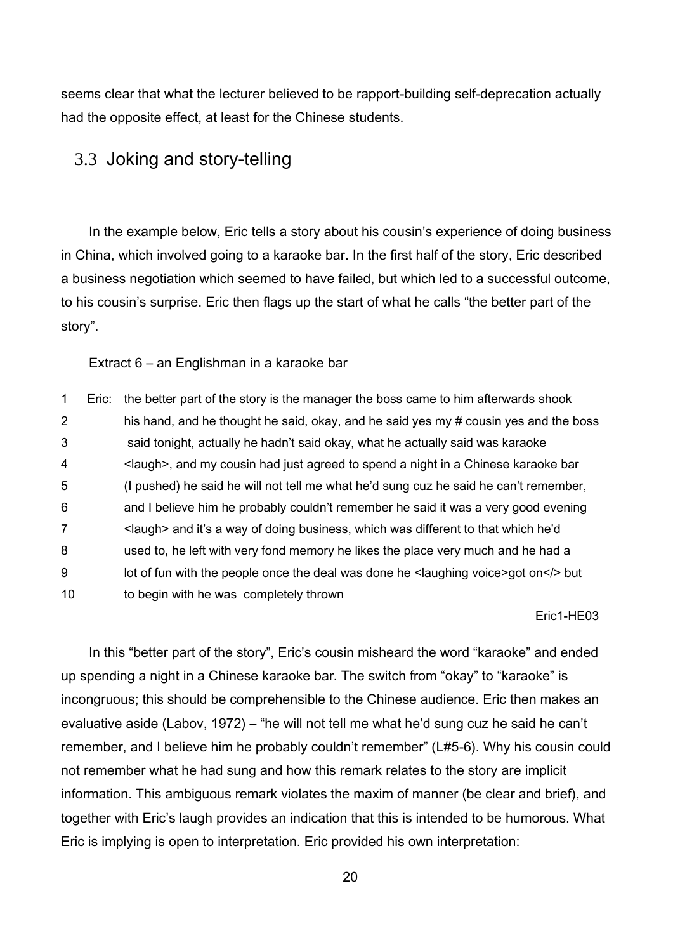seems clear that what the lecturer believed to be rapport-building self-deprecation actually had the opposite effect, at least for the Chinese students.

### 3.3 Joking and story-telling

In the example below, Eric tells a story about his cousin's experience of doing business in China, which involved going to a karaoke bar. In the first half of the story, Eric described a business negotiation which seemed to have failed, but which led to a successful outcome, to his cousin's surprise. Eric then flags up the start of what he calls "the better part of the story".

Extract 6 – an Englishman in a karaoke bar

 Eric: the better part of the story is the manager the boss came to him afterwards shook his hand, and he thought he said, okay, and he said yes my # cousin yes and the boss said tonight, actually he hadn't said okay, what he actually said was karaoke <laugh>, and my cousin had just agreed to spend a night in a Chinese karaoke bar (I pushed) he said he will not tell me what he'd sung cuz he said he can't remember, and I believe him he probably couldn't remember he said it was a very good evening <laugh> and it's a way of doing business, which was different to that which he'd used to, he left with very fond memory he likes the place very much and he had a 9 lot of fun with the people once the deal was done he <laughing voice>got on</>on</> to begin with he was completely thrown

Eric1-HE03

In this "better part of the story", Eric's cousin misheard the word "karaoke" and ended up spending a night in a Chinese karaoke bar. The switch from "okay" to "karaoke" is incongruous; this should be comprehensible to the Chinese audience. Eric then makes an evaluative aside (Labov, 1972) – "he will not tell me what he'd sung cuz he said he can't remember, and I believe him he probably couldn't remember" (L#5-6). Why his cousin could not remember what he had sung and how this remark relates to the story are implicit information. This ambiguous remark violates the maxim of manner (be clear and brief), and together with Eric's laugh provides an indication that this is intended to be humorous. What Eric is implying is open to interpretation. Eric provided his own interpretation: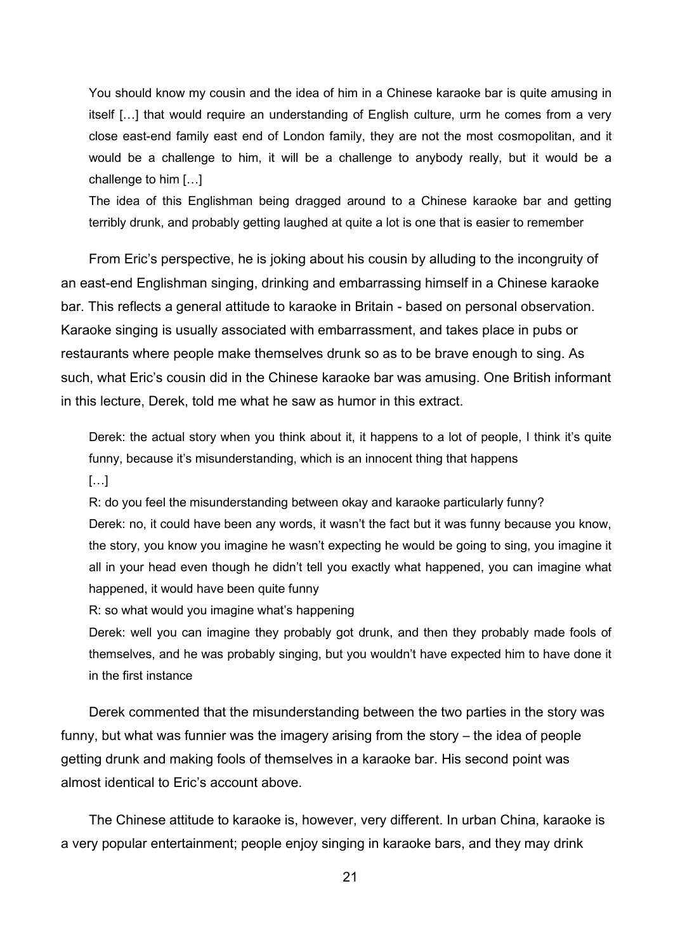You should know my cousin and the idea of him in a Chinese karaoke bar is quite amusing in itself […] that would require an understanding of English culture, urm he comes from a very close east-end family east end of London family, they are not the most cosmopolitan, and it would be a challenge to him, it will be a challenge to anybody really, but it would be a challenge to him […]

The idea of this Englishman being dragged around to a Chinese karaoke bar and getting terribly drunk, and probably getting laughed at quite a lot is one that is easier to remember

From Eric's perspective, he is joking about his cousin by alluding to the incongruity of an east-end Englishman singing, drinking and embarrassing himself in a Chinese karaoke bar. This reflects a general attitude to karaoke in Britain - based on personal observation. Karaoke singing is usually associated with embarrassment, and takes place in pubs or restaurants where people make themselves drunk so as to be brave enough to sing. As such, what Eric's cousin did in the Chinese karaoke bar was amusing. One British informant in this lecture, Derek, told me what he saw as humor in this extract.

Derek: the actual story when you think about it, it happens to a lot of people, I think it's quite funny, because it's misunderstanding, which is an innocent thing that happens  $[...]$ 

R: do you feel the misunderstanding between okay and karaoke particularly funny?

Derek: no, it could have been any words, it wasn't the fact but it was funny because you know, the story, you know you imagine he wasn't expecting he would be going to sing, you imagine it all in your head even though he didn't tell you exactly what happened, you can imagine what happened, it would have been quite funny

R: so what would you imagine what's happening

Derek: well you can imagine they probably got drunk, and then they probably made fools of themselves, and he was probably singing, but you wouldn't have expected him to have done it in the first instance

Derek commented that the misunderstanding between the two parties in the story was funny, but what was funnier was the imagery arising from the story – the idea of people getting drunk and making fools of themselves in a karaoke bar. His second point was almost identical to Eric's account above.

The Chinese attitude to karaoke is, however, very different. In urban China, karaoke is a very popular entertainment; people enjoy singing in karaoke bars, and they may drink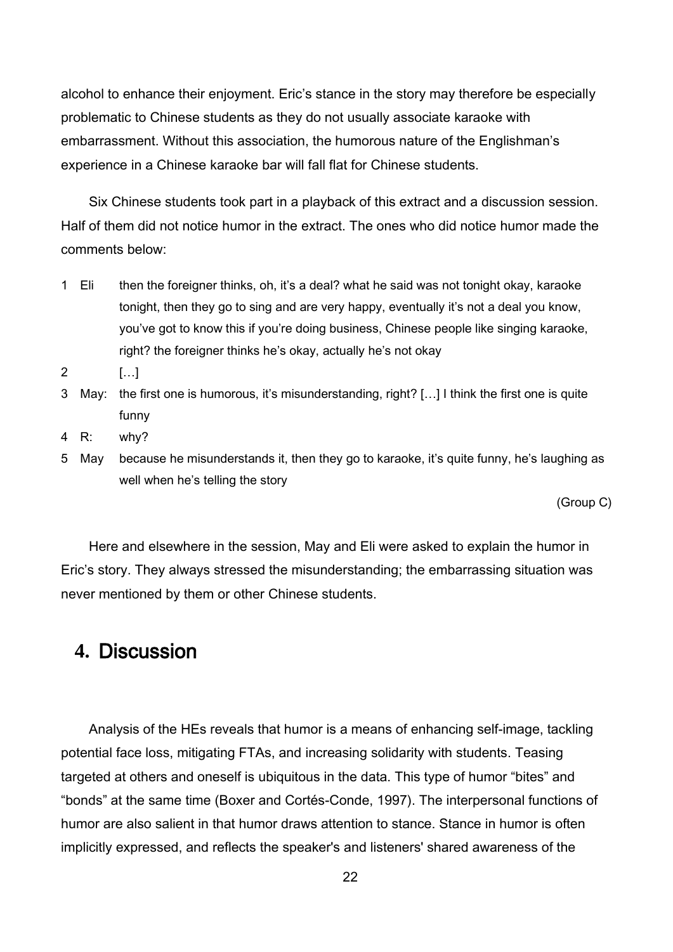alcohol to enhance their enjoyment. Eric's stance in the story may therefore be especially problematic to Chinese students as they do not usually associate karaoke with embarrassment. Without this association, the humorous nature of the Englishman's experience in a Chinese karaoke bar will fall flat for Chinese students.

Six Chinese students took part in a playback of this extract and a discussion session. Half of them did not notice humor in the extract. The ones who did notice humor made the comments below:

- 1 Eli then the foreigner thinks, oh, it's a deal? what he said was not tonight okay, karaoke tonight, then they go to sing and are very happy, eventually it's not a deal you know, you've got to know this if you're doing business, Chinese people like singing karaoke, right? the foreigner thinks he's okay, actually he's not okay
- 2 […]
- 3 May: the first one is humorous, it's misunderstanding, right? […] I think the first one is quite funny
- 4 R: why?
- 5 May because he misunderstands it, then they go to karaoke, it's quite funny, he's laughing as well when he's telling the story

(Group C)

Here and elsewhere in the session, May and Eli were asked to explain the humor in Eric's story. They always stressed the misunderstanding; the embarrassing situation was never mentioned by them or other Chinese students.

## **4.** Discussion

Analysis of the HEs reveals that humor is a means of enhancing self-image, tackling potential face loss, mitigating FTAs, and increasing solidarity with students. Teasing targeted at others and oneself is ubiquitous in the data. This type of humor "bites" and "bonds" at the same time (Boxer and Cortés-Conde, 1997). The interpersonal functions of humor are also salient in that humor draws attention to stance. Stance in humor is often implicitly expressed, and reflects the speaker's and listeners' shared awareness of the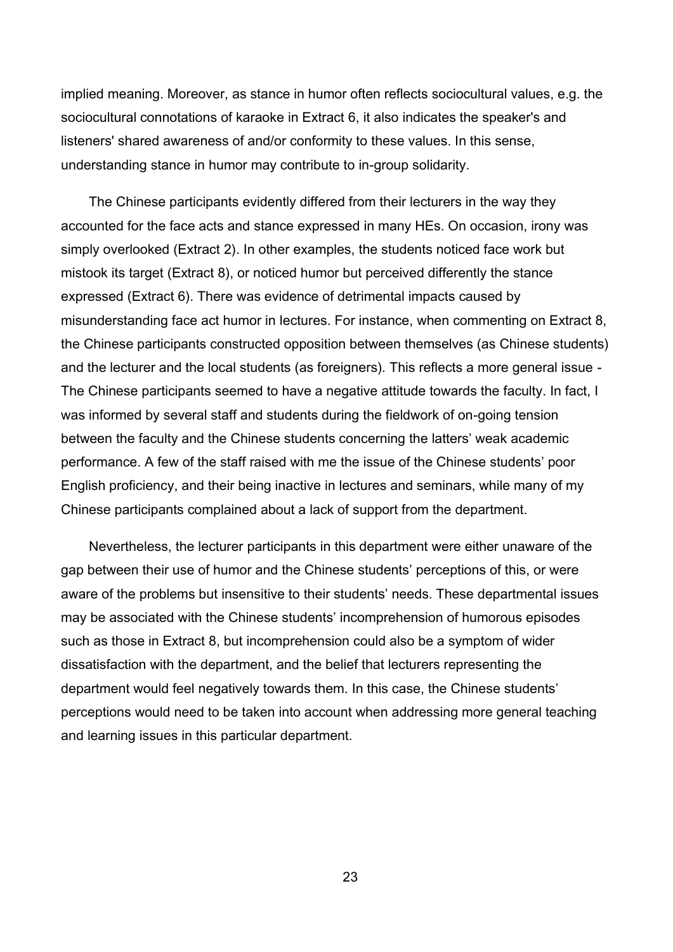implied meaning. Moreover, as stance in humor often reflects sociocultural values, e.g. the sociocultural connotations of karaoke in Extract 6, it also indicates the speaker's and listeners' shared awareness of and/or conformity to these values. In this sense, understanding stance in humor may contribute to in-group solidarity.

The Chinese participants evidently differed from their lecturers in the way they accounted for the face acts and stance expressed in many HEs. On occasion, irony was simply overlooked (Extract 2). In other examples, the students noticed face work but mistook its target (Extract 8), or noticed humor but perceived differently the stance expressed (Extract 6). There was evidence of detrimental impacts caused by misunderstanding face act humor in lectures. For instance, when commenting on Extract 8, the Chinese participants constructed opposition between themselves (as Chinese students) and the lecturer and the local students (as foreigners). This reflects a more general issue - The Chinese participants seemed to have a negative attitude towards the faculty. In fact, I was informed by several staff and students during the fieldwork of on-going tension between the faculty and the Chinese students concerning the latters' weak academic performance. A few of the staff raised with me the issue of the Chinese students' poor English proficiency, and their being inactive in lectures and seminars, while many of my Chinese participants complained about a lack of support from the department.

Nevertheless, the lecturer participants in this department were either unaware of the gap between their use of humor and the Chinese students' perceptions of this, or were aware of the problems but insensitive to their students' needs. These departmental issues may be associated with the Chinese students' incomprehension of humorous episodes such as those in Extract 8, but incomprehension could also be a symptom of wider dissatisfaction with the department, and the belief that lecturers representing the department would feel negatively towards them. In this case, the Chinese students' perceptions would need to be taken into account when addressing more general teaching and learning issues in this particular department.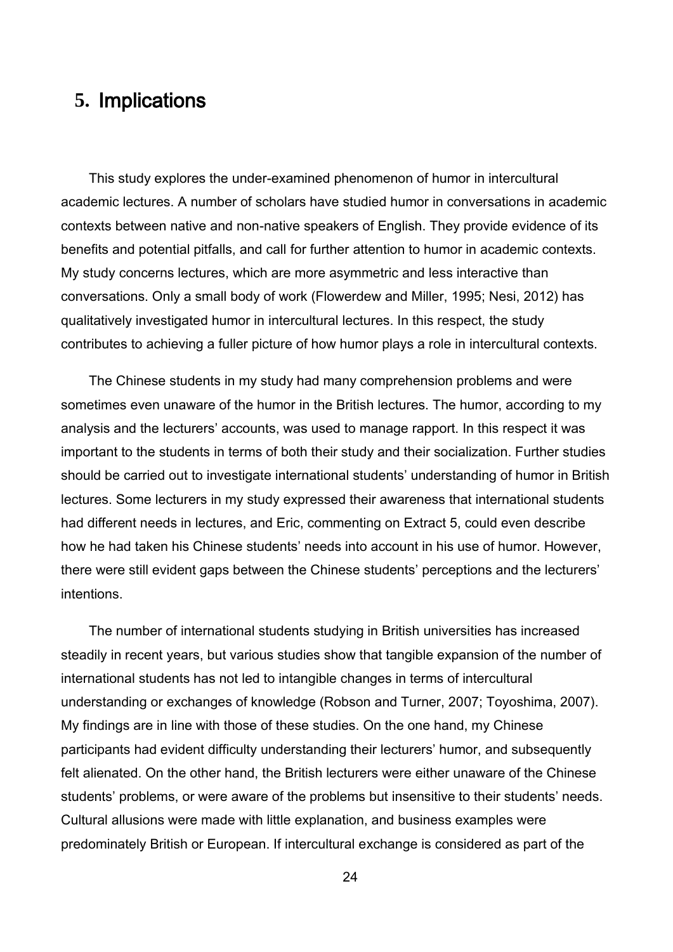# **5.** Implications

This study explores the under-examined phenomenon of humor in intercultural academic lectures. A number of scholars have studied humor in conversations in academic contexts between native and non-native speakers of English. They provide evidence of its benefits and potential pitfalls, and call for further attention to humor in academic contexts. My study concerns lectures, which are more asymmetric and less interactive than conversations. Only a small body of work (Flowerdew and Miller, 1995; Nesi, 2012) has qualitatively investigated humor in intercultural lectures. In this respect, the study contributes to achieving a fuller picture of how humor plays a role in intercultural contexts.

The Chinese students in my study had many comprehension problems and were sometimes even unaware of the humor in the British lectures. The humor, according to my analysis and the lecturers' accounts, was used to manage rapport. In this respect it was important to the students in terms of both their study and their socialization. Further studies should be carried out to investigate international students' understanding of humor in British lectures. Some lecturers in my study expressed their awareness that international students had different needs in lectures, and Eric, commenting on Extract 5, could even describe how he had taken his Chinese students' needs into account in his use of humor. However, there were still evident gaps between the Chinese students' perceptions and the lecturers' intentions.

The number of international students studying in British universities has increased steadily in recent years, but various studies show that tangible expansion of the number of international students has not led to intangible changes in terms of intercultural understanding or exchanges of knowledge (Robson and Turner, 2007; Toyoshima, 2007). My findings are in line with those of these studies. On the one hand, my Chinese participants had evident difficulty understanding their lecturers' humor, and subsequently felt alienated. On the other hand, the British lecturers were either unaware of the Chinese students' problems, or were aware of the problems but insensitive to their students' needs. Cultural allusions were made with little explanation, and business examples were predominately British or European. If intercultural exchange is considered as part of the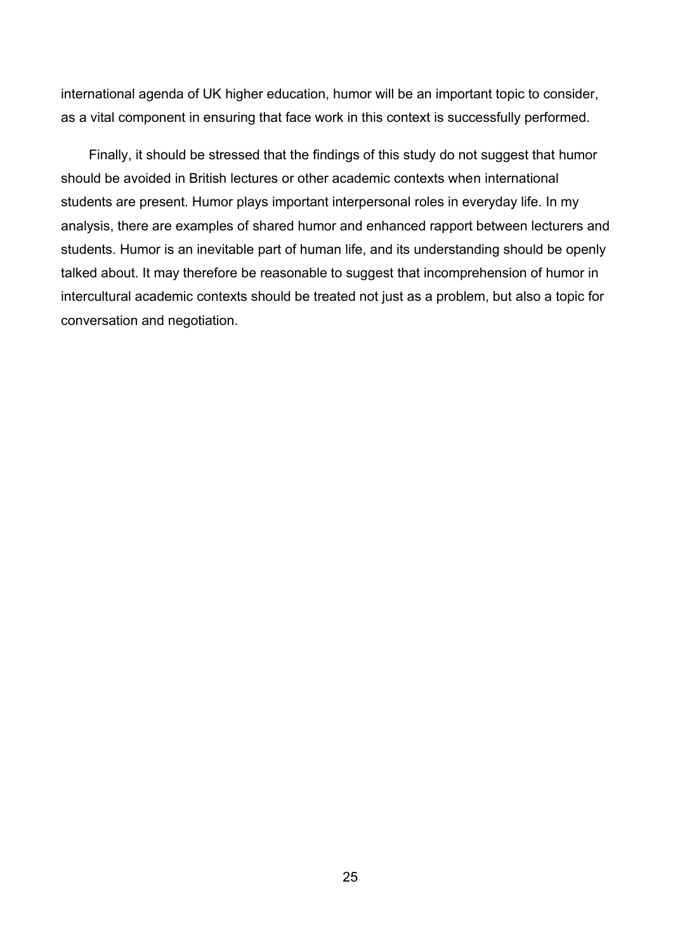international agenda of UK higher education, humor will be an important topic to consider, as a vital component in ensuring that face work in this context is successfully performed.

Finally, it should be stressed that the findings of this study do not suggest that humor should be avoided in British lectures or other academic contexts when international students are present. Humor plays important interpersonal roles in everyday life. In my analysis, there are examples of shared humor and enhanced rapport between lecturers and students. Humor is an inevitable part of human life, and its understanding should be openly talked about. It may therefore be reasonable to suggest that incomprehension of humor in intercultural academic contexts should be treated not just as a problem, but also a topic for conversation and negotiation.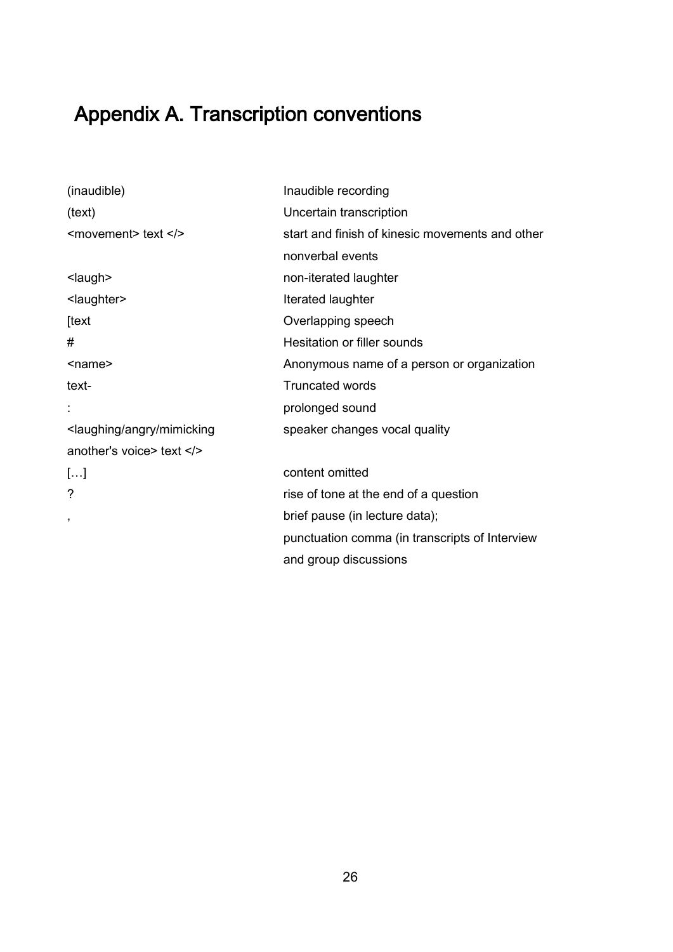# Appendix A. Transcription conventions

| (inaudible)                                                                                          | Inaudible recording                             |  |  |  |  |  |
|------------------------------------------------------------------------------------------------------|-------------------------------------------------|--|--|--|--|--|
| (text)                                                                                               | Uncertain transcription                         |  |  |  |  |  |
| $<$ movement> text $\lt/$                                                                            | start and finish of kinesic movements and other |  |  |  |  |  |
|                                                                                                      | nonverbal events                                |  |  |  |  |  |
| <laugh></laugh>                                                                                      | non-iterated laughter                           |  |  |  |  |  |
| <laughter></laughter>                                                                                | Iterated laughter                               |  |  |  |  |  |
| [text                                                                                                | Overlapping speech                              |  |  |  |  |  |
| #                                                                                                    | Hesitation or filler sounds                     |  |  |  |  |  |
| <name></name>                                                                                        | Anonymous name of a person or organization      |  |  |  |  |  |
| text-                                                                                                | <b>Truncated words</b>                          |  |  |  |  |  |
|                                                                                                      | prolonged sound                                 |  |  |  |  |  |
| <laughing angry="" mimicking<="" td=""><td colspan="5">speaker changes vocal quality</td></laughing> | speaker changes vocal quality                   |  |  |  |  |  |
| another's voice> text                                                                                |                                                 |  |  |  |  |  |
| []                                                                                                   | content omitted                                 |  |  |  |  |  |
| ?                                                                                                    | rise of tone at the end of a question           |  |  |  |  |  |
| $\overline{\phantom{a}}$                                                                             | brief pause (in lecture data);                  |  |  |  |  |  |
|                                                                                                      | punctuation comma (in transcripts of Interview  |  |  |  |  |  |
|                                                                                                      | and group discussions                           |  |  |  |  |  |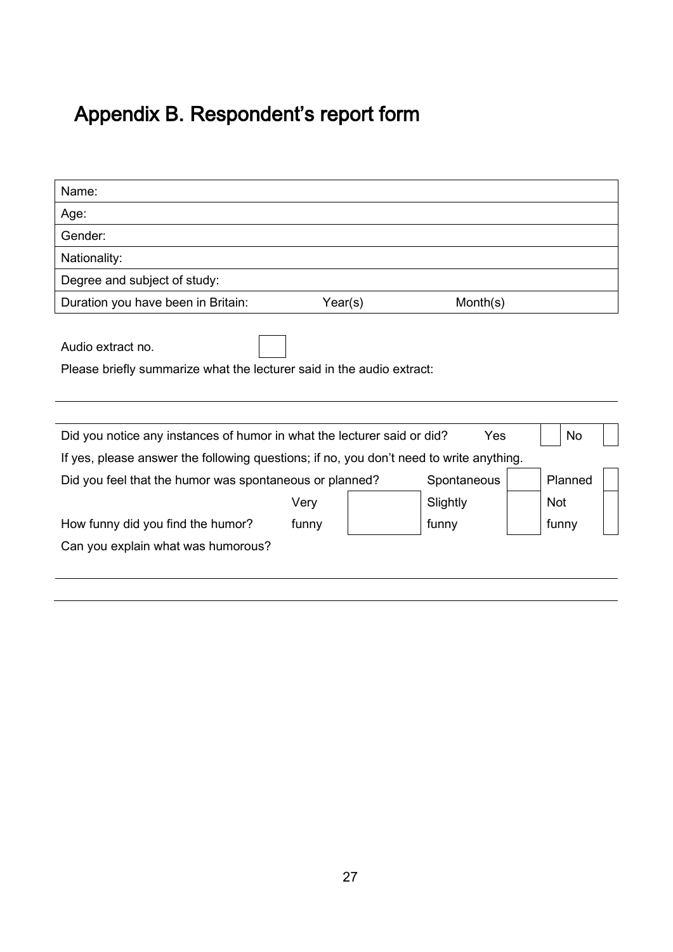# Appendix B. Respondent's report form

| Name:                                                                                      |          |  |            |  |  |  |  |  |  |
|--------------------------------------------------------------------------------------------|----------|--|------------|--|--|--|--|--|--|
| Age:                                                                                       |          |  |            |  |  |  |  |  |  |
| Gender:                                                                                    |          |  |            |  |  |  |  |  |  |
| Nationality:                                                                               |          |  |            |  |  |  |  |  |  |
| Degree and subject of study:                                                               |          |  |            |  |  |  |  |  |  |
| Year(s)<br>Duration you have been in Britain:<br>Month(s)                                  |          |  |            |  |  |  |  |  |  |
| Audio extract no.<br>Please briefly summarize what the lecturer said in the audio extract: |          |  |            |  |  |  |  |  |  |
| Yes<br>Did you notice any instances of humor in what the lecturer said or did?<br>No.      |          |  |            |  |  |  |  |  |  |
| If yes, please answer the following questions; if no, you don't need to write anything.    |          |  |            |  |  |  |  |  |  |
| Did you feel that the humor was spontaneous or planned?<br>Spontaneous                     |          |  |            |  |  |  |  |  |  |
|                                                                                            | Slightly |  | <b>Not</b> |  |  |  |  |  |  |
| How funny did you find the humor?                                                          | funny    |  | funny      |  |  |  |  |  |  |
| Can you explain what was humorous?                                                         |          |  |            |  |  |  |  |  |  |
|                                                                                            |          |  |            |  |  |  |  |  |  |
|                                                                                            |          |  |            |  |  |  |  |  |  |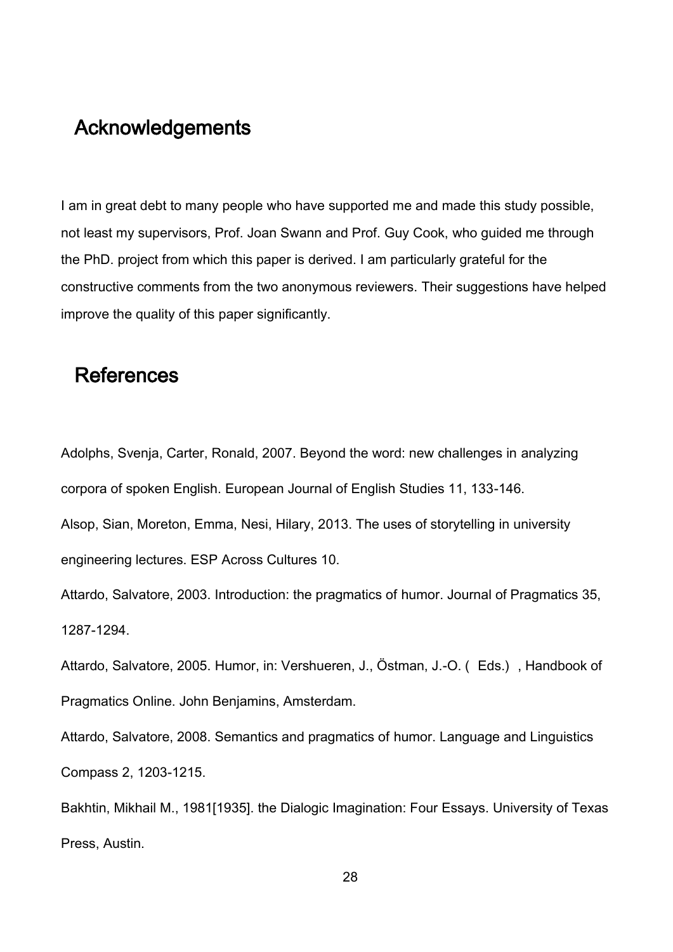# Acknowledgements

I am in great debt to many people who have supported me and made this study possible, not least my supervisors, Prof. Joan Swann and Prof. Guy Cook, who guided me through the PhD. project from which this paper is derived. I am particularly grateful for the constructive comments from the two anonymous reviewers. Their suggestions have helped improve the quality of this paper significantly.

## **References**

Adolphs, Svenja, Carter, Ronald, 2007. Beyond the word: new challenges in analyzing corpora of spoken English. European Journal of English Studies 11, 133-146.

Alsop, Sian, Moreton, Emma, Nesi, Hilary, 2013. The uses of storytelling in university engineering lectures. ESP Across Cultures 10.

Attardo, Salvatore, 2003. Introduction: the pragmatics of humor. Journal of Pragmatics 35, 1287-1294.

Attardo, Salvatore, 2005. Humor, in: Vershueren, J., Östman, J.-O. ( Eds.) , Handbook of Pragmatics Online. John Benjamins, Amsterdam.

Attardo, Salvatore, 2008. Semantics and pragmatics of humor. Language and Linguistics Compass 2, 1203-1215.

Bakhtin, Mikhail M., 1981[1935]. the Dialogic Imagination: Four Essays. University of Texas Press, Austin.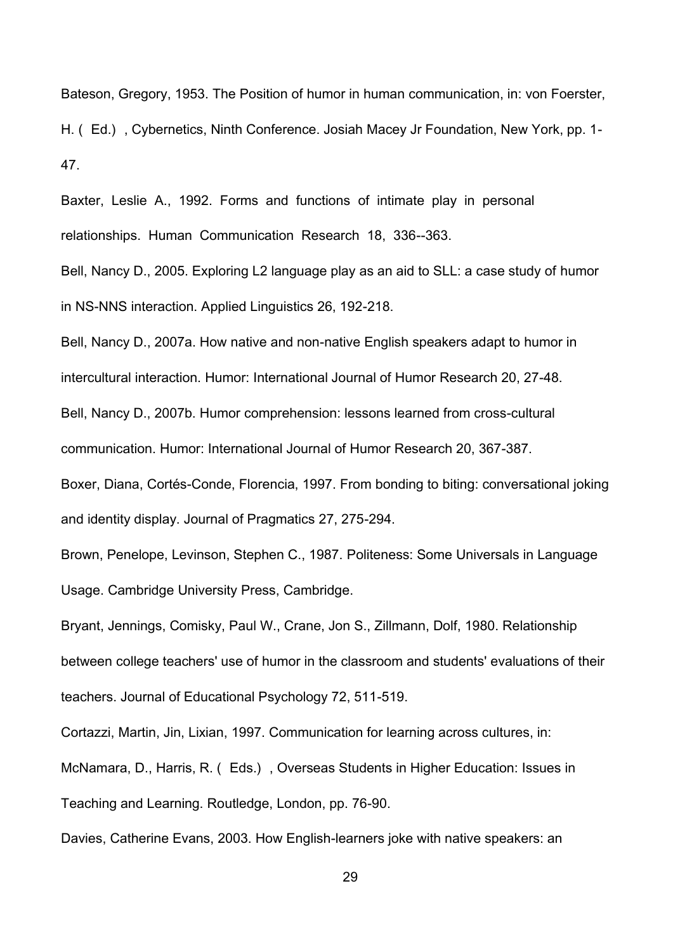Bateson, Gregory, 1953. The Position of humor in human communication, in: von Foerster,

H. ( Ed.) , Cybernetics, Ninth Conference. Josiah Macey Jr Foundation, New York, pp. 1- 47.

Baxter, Leslie A., 1992. Forms and functions of intimate play in personal relationships. Human Communication Research 18, 336--363.

Bell, Nancy D., 2005. Exploring L2 language play as an aid to SLL: a case study of humor in NS-NNS interaction. Applied Linguistics 26, 192-218.

Bell, Nancy D., 2007a. How native and non-native English speakers adapt to humor in

intercultural interaction. Humor: International Journal of Humor Research 20, 27-48.

Bell, Nancy D., 2007b. Humor comprehension: lessons learned from cross-cultural

communication. Humor: International Journal of Humor Research 20, 367-387.

Boxer, Diana, Cortés-Conde, Florencia, 1997. From bonding to biting: conversational joking and identity display. Journal of Pragmatics 27, 275-294.

Brown, Penelope, Levinson, Stephen C., 1987. Politeness: Some Universals in Language Usage. Cambridge University Press, Cambridge.

Bryant, Jennings, Comisky, Paul W., Crane, Jon S., Zillmann, Dolf, 1980. Relationship between college teachers' use of humor in the classroom and students' evaluations of their teachers. Journal of Educational Psychology 72, 511-519.

Cortazzi, Martin, Jin, Lixian, 1997. Communication for learning across cultures, in:

McNamara, D., Harris, R. ( Eds.) , Overseas Students in Higher Education: Issues in Teaching and Learning. Routledge, London, pp. 76-90.

Davies, Catherine Evans, 2003. How English-learners joke with native speakers: an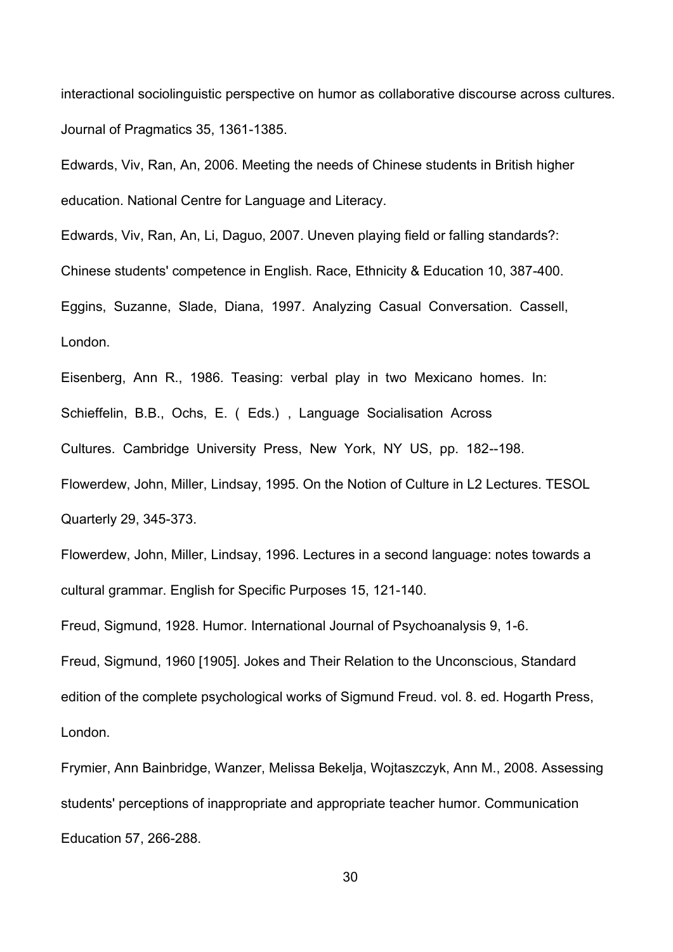interactional sociolinguistic perspective on humor as collaborative discourse across cultures. Journal of Pragmatics 35, 1361-1385.

Edwards, Viv, Ran, An, 2006. Meeting the needs of Chinese students in British higher education. National Centre for Language and Literacy.

Edwards, Viv, Ran, An, Li, Daguo, 2007. Uneven playing field or falling standards?: Chinese students' competence in English. Race, Ethnicity & Education 10, 387-400. Eggins, Suzanne, Slade, Diana, 1997. Analyzing Casual Conversation. Cassell, London.

Eisenberg, Ann R., 1986. Teasing: verbal play in two Mexicano homes. In: Schieffelin, B.B., Ochs, E. ( Eds.) , Language Socialisation Across Cultures. Cambridge University Press, New York, NY US, pp. 182--198. Flowerdew, John, Miller, Lindsay, 1995. On the Notion of Culture in L2 Lectures. TESOL Quarterly 29, 345-373.

Flowerdew, John, Miller, Lindsay, 1996. Lectures in a second language: notes towards a cultural grammar. English for Specific Purposes 15, 121-140.

Freud, Sigmund, 1928. Humor. International Journal of Psychoanalysis 9, 1-6.

Freud, Sigmund, 1960 [1905]. Jokes and Their Relation to the Unconscious, Standard edition of the complete psychological works of Sigmund Freud. vol. 8. ed. Hogarth Press, London.

Frymier, Ann Bainbridge, Wanzer, Melissa Bekelja, Wojtaszczyk, Ann M., 2008. Assessing students' perceptions of inappropriate and appropriate teacher humor. Communication Education 57, 266-288.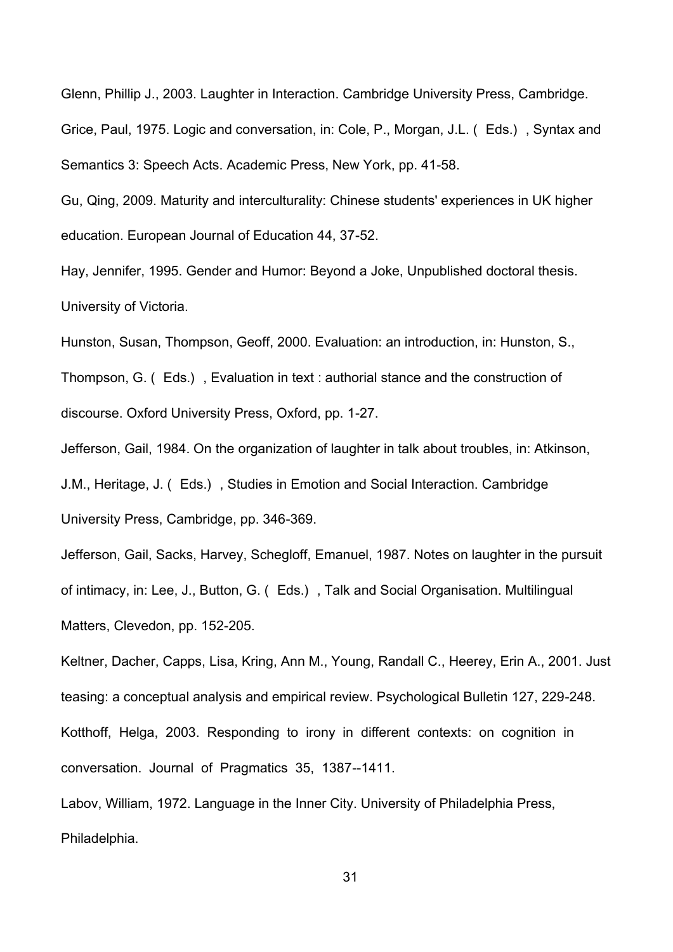Glenn, Phillip J., 2003. Laughter in Interaction. Cambridge University Press, Cambridge. Grice, Paul, 1975. Logic and conversation, in: Cole, P., Morgan, J.L. ( Eds.) , Syntax and Semantics 3: Speech Acts. Academic Press, New York, pp. 41-58.

Gu, Qing, 2009. Maturity and interculturality: Chinese students' experiences in UK higher education. European Journal of Education 44, 37-52.

Hay, Jennifer, 1995. Gender and Humor: Beyond a Joke, Unpublished doctoral thesis. University of Victoria.

Hunston, Susan, Thompson, Geoff, 2000. Evaluation: an introduction, in: Hunston, S., Thompson, G. ( Eds.) , Evaluation in text : authorial stance and the construction of discourse. Oxford University Press, Oxford, pp. 1-27.

Jefferson, Gail, 1984. On the organization of laughter in talk about troubles, in: Atkinson, J.M., Heritage, J. ( Eds.) , Studies in Emotion and Social Interaction. Cambridge University Press, Cambridge, pp. 346-369.

Jefferson, Gail, Sacks, Harvey, Schegloff, Emanuel, 1987. Notes on laughter in the pursuit of intimacy, in: Lee, J., Button, G. ( Eds.) , Talk and Social Organisation. Multilingual Matters, Clevedon, pp. 152-205.

Keltner, Dacher, Capps, Lisa, Kring, Ann M., Young, Randall C., Heerey, Erin A., 2001. Just teasing: a conceptual analysis and empirical review. Psychological Bulletin 127, 229-248. Kotthoff, Helga, 2003. Responding to irony in different contexts: on cognition in conversation. Journal of Pragmatics 35, 1387--1411.

Labov, William, 1972. Language in the Inner City. University of Philadelphia Press, Philadelphia.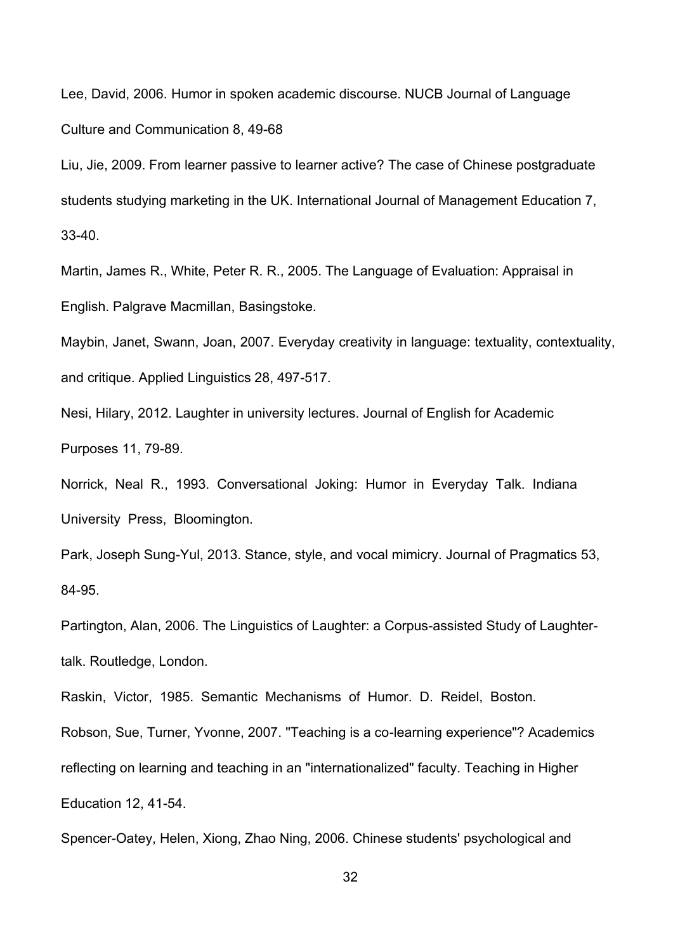Lee, David, 2006. Humor in spoken academic discourse. NUCB Journal of Language Culture and Communication 8, 49-68

Liu, Jie, 2009. From learner passive to learner active? The case of Chinese postgraduate students studying marketing in the UK. International Journal of Management Education 7, 33-40.

Martin, James R., White, Peter R. R., 2005. The Language of Evaluation: Appraisal in English. Palgrave Macmillan, Basingstoke.

Maybin, Janet, Swann, Joan, 2007. Everyday creativity in language: textuality, contextuality, and critique. Applied Linguistics 28, 497-517.

Nesi, Hilary, 2012. Laughter in university lectures. Journal of English for Academic Purposes 11, 79-89.

Norrick, Neal R., 1993. Conversational Joking: Humor in Everyday Talk. Indiana University Press, Bloomington.

Park, Joseph Sung-Yul, 2013. Stance, style, and vocal mimicry. Journal of Pragmatics 53, 84-95.

Partington, Alan, 2006. The Linguistics of Laughter: a Corpus-assisted Study of Laughtertalk. Routledge, London.

Raskin, Victor, 1985. Semantic Mechanisms of Humor. D. Reidel, Boston.

Robson, Sue, Turner, Yvonne, 2007. "Teaching is a co-learning experience"? Academics reflecting on learning and teaching in an "internationalized" faculty. Teaching in Higher Education 12, 41-54.

Spencer-Oatey, Helen, Xiong, Zhao Ning, 2006. Chinese students' psychological and